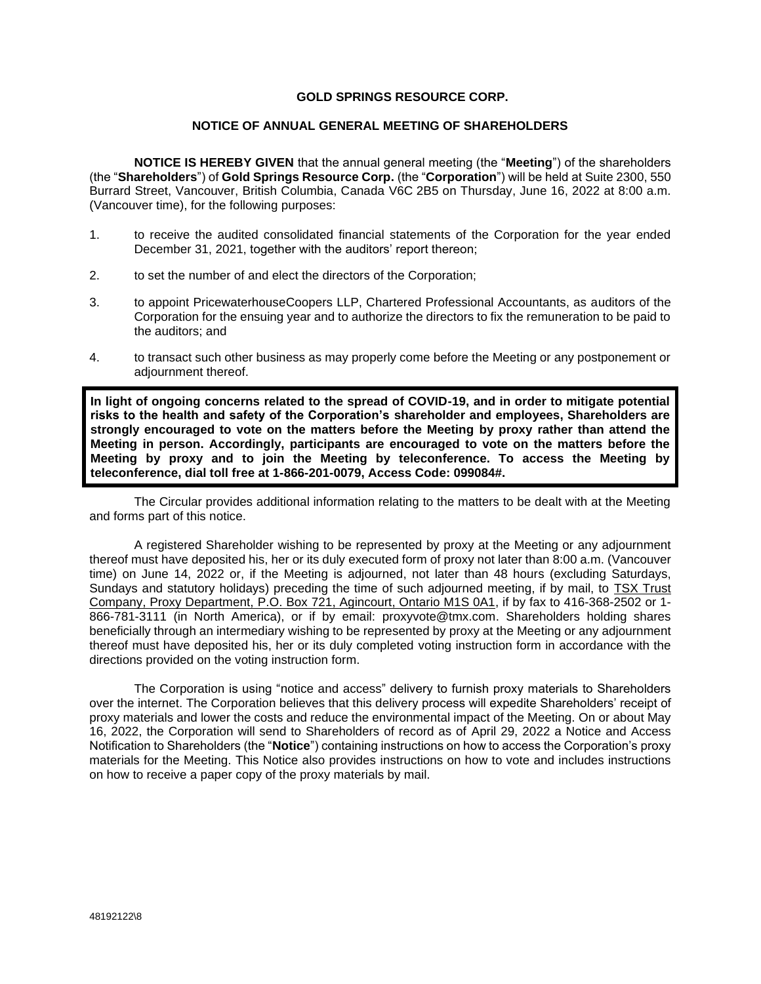### **GOLD SPRINGS RESOURCE CORP.**

### **NOTICE OF ANNUAL GENERAL MEETING OF SHAREHOLDERS**

**NOTICE IS HEREBY GIVEN** that the annual general meeting (the "**Meeting**") of the shareholders (the "**Shareholders**") of **Gold Springs Resource Corp.** (the "**Corporation**") will be held at Suite 2300, 550 Burrard Street, Vancouver, British Columbia, Canada V6C 2B5 on Thursday, June 16, 2022 at 8:00 a.m. (Vancouver time), for the following purposes:

- 1. to receive the audited consolidated financial statements of the Corporation for the year ended December 31, 2021, together with the auditors' report thereon;
- 2. to set the number of and elect the directors of the Corporation;
- 3. to appoint PricewaterhouseCoopers LLP, Chartered Professional Accountants, as auditors of the Corporation for the ensuing year and to authorize the directors to fix the remuneration to be paid to the auditors; and
- 4. to transact such other business as may properly come before the Meeting or any postponement or adjournment thereof.

**In light of ongoing concerns related to the spread of COVID-19, and in order to mitigate potential risks to the health and safety of the Corporation's shareholder and employees, Shareholders are strongly encouraged to vote on the matters before the Meeting by proxy rather than attend the Meeting in person. Accordingly, participants are encouraged to vote on the matters before the Meeting by proxy and to join the Meeting by teleconference. To access the Meeting by teleconference, dial toll free at 1-866-201-0079, Access Code: 099084#.**

The Circular provides additional information relating to the matters to be dealt with at the Meeting and forms part of this notice.

A registered Shareholder wishing to be represented by proxy at the Meeting or any adjournment thereof must have deposited his, her or its duly executed form of proxy not later than 8:00 a.m. (Vancouver time) on June 14, 2022 or, if the Meeting is adjourned, not later than 48 hours (excluding Saturdays, Sundays and statutory holidays) preceding the time of such adjourned meeting, if by mail, to TSX Trust Company, Proxy Department, P.O. Box 721, Agincourt, Ontario M1S 0A1, if by fax to 416-368-2502 or 1- 866-781-3111 (in North America), or if by email: proxyvote@tmx.com. Shareholders holding shares beneficially through an intermediary wishing to be represented by proxy at the Meeting or any adjournment thereof must have deposited his, her or its duly completed voting instruction form in accordance with the directions provided on the voting instruction form.

The Corporation is using "notice and access" delivery to furnish proxy materials to Shareholders over the internet. The Corporation believes that this delivery process will expedite Shareholders' receipt of proxy materials and lower the costs and reduce the environmental impact of the Meeting. On or about May 16, 2022, the Corporation will send to Shareholders of record as of April 29, 2022 a Notice and Access Notification to Shareholders (the "**Notice**") containing instructions on how to access the Corporation's proxy materials for the Meeting. This Notice also provides instructions on how to vote and includes instructions on how to receive a paper copy of the proxy materials by mail.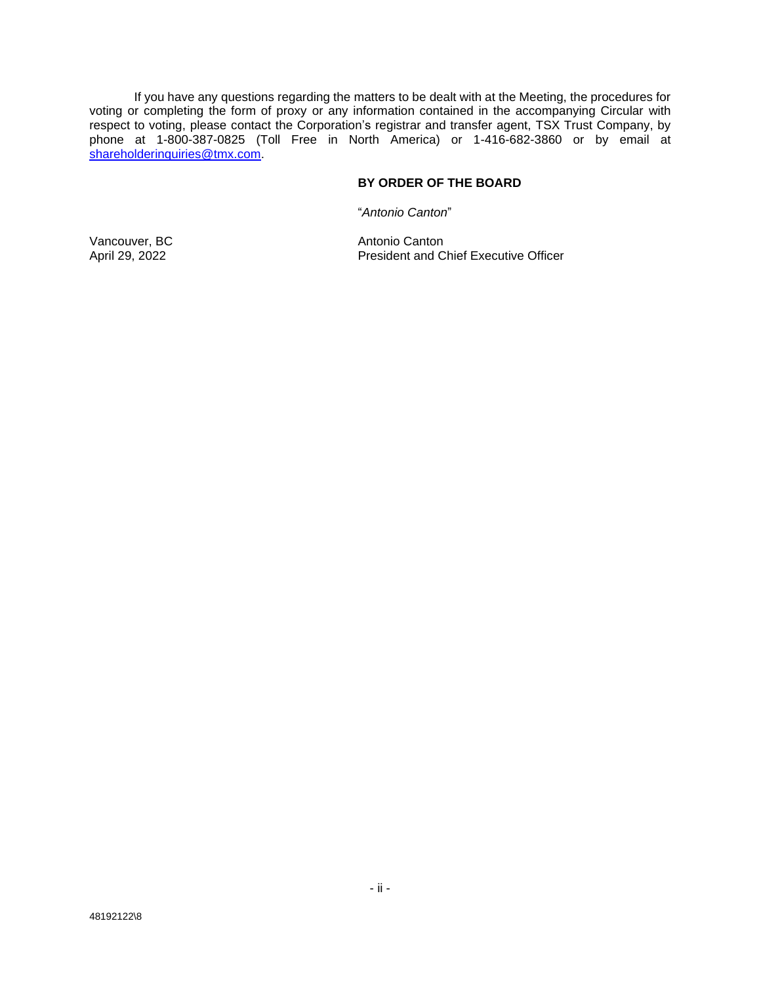If you have any questions regarding the matters to be dealt with at the Meeting, the procedures for voting or completing the form of proxy or any information contained in the accompanying Circular with respect to voting, please contact the Corporation's registrar and transfer agent, TSX Trust Company, by phone at 1-800-387-0825 (Toll Free in North America) or 1-416-682-3860 or by email at [shareholderinquiries@tmx.com.](mailto:shareholderinquiries@tmx.com)

# **BY ORDER OF THE BOARD**

"*Antonio Canton*"

Vancouver, BC<br>
Antonio Canton<br>
April 29, 2022<br>
Antonio Canton<br>
President and C President and Chief Executive Officer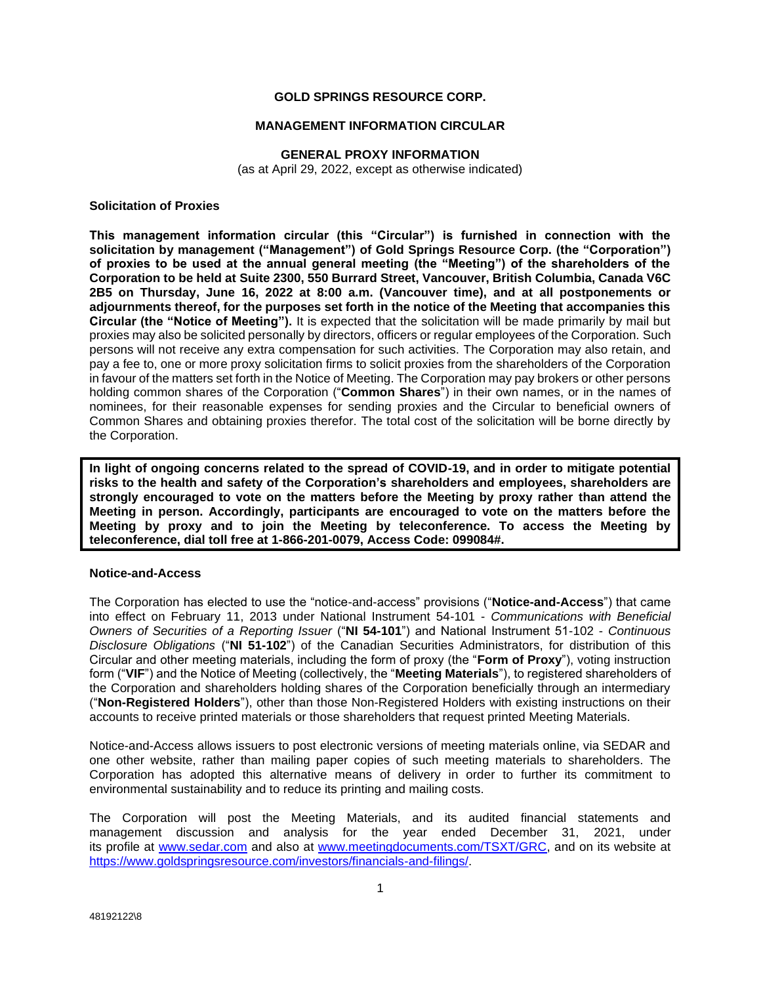## **GOLD SPRINGS RESOURCE CORP.**

### **MANAGEMENT INFORMATION CIRCULAR**

**GENERAL PROXY INFORMATION** (as at April 29, 2022, except as otherwise indicated)

**Solicitation of Proxies**

**This management information circular (this "Circular") is furnished in connection with the solicitation by management ("Management") of Gold Springs Resource Corp. (the "Corporation") of proxies to be used at the annual general meeting (the "Meeting") of the shareholders of the Corporation to be held at Suite 2300, 550 Burrard Street, Vancouver, British Columbia, Canada V6C 2B5 on Thursday, June 16, 2022 at 8:00 a.m. (Vancouver time), and at all postponements or adjournments thereof, for the purposes set forth in the notice of the Meeting that accompanies this Circular (the "Notice of Meeting").** It is expected that the solicitation will be made primarily by mail but proxies may also be solicited personally by directors, officers or regular employees of the Corporation. Such persons will not receive any extra compensation for such activities. The Corporation may also retain, and pay a fee to, one or more proxy solicitation firms to solicit proxies from the shareholders of the Corporation in favour of the matters set forth in the Notice of Meeting. The Corporation may pay brokers or other persons holding common shares of the Corporation ("**Common Shares**") in their own names, or in the names of nominees, for their reasonable expenses for sending proxies and the Circular to beneficial owners of Common Shares and obtaining proxies therefor. The total cost of the solicitation will be borne directly by the Corporation.

**In light of ongoing concerns related to the spread of COVID-19, and in order to mitigate potential risks to the health and safety of the Corporation's shareholders and employees, shareholders are strongly encouraged to vote on the matters before the Meeting by proxy rather than attend the Meeting in person. Accordingly, participants are encouraged to vote on the matters before the Meeting by proxy and to join the Meeting by teleconference. To access the Meeting by teleconference, dial toll free at 1-866-201-0079, Access Code: 099084#.**

### **Notice-and-Access**

The Corporation has elected to use the "notice-and-access" provisions ("**Notice-and-Access**") that came into effect on February 11, 2013 under National Instrument 54-101 - *Communications with Beneficial Owners of Securities of a Reporting Issuer* ("**NI 54-101**") and National Instrument 51-102 - *Continuous Disclosure Obligations* ("**NI 51-102**") of the Canadian Securities Administrators, for distribution of this Circular and other meeting materials, including the form of proxy (the "**Form of Proxy**"), voting instruction form ("**VIF**") and the Notice of Meeting (collectively, the "**Meeting Materials**"), to registered shareholders of the Corporation and shareholders holding shares of the Corporation beneficially through an intermediary ("**Non-Registered Holders**"), other than those Non-Registered Holders with existing instructions on their accounts to receive printed materials or those shareholders that request printed Meeting Materials.

Notice-and-Access allows issuers to post electronic versions of meeting materials online, via SEDAR and one other website, rather than mailing paper copies of such meeting materials to shareholders. The Corporation has adopted this alternative means of delivery in order to further its commitment to environmental sustainability and to reduce its printing and mailing costs.

The Corporation will post the Meeting Materials, and its audited financial statements and management discussion and analysis for the year ended December 31, 2021, under its profile at [www.sedar.com](http://www.sedar.com/) and also at [www.meetingdocuments.com/TSXT/GRC,](http://www.meetingdocuments.com/TSXT/GRC) and on its website at [https://www.goldspringsresource.com/investors/financials-and-filings/.](https://www.goldspringsresource.com/investors/financials-and-filings/)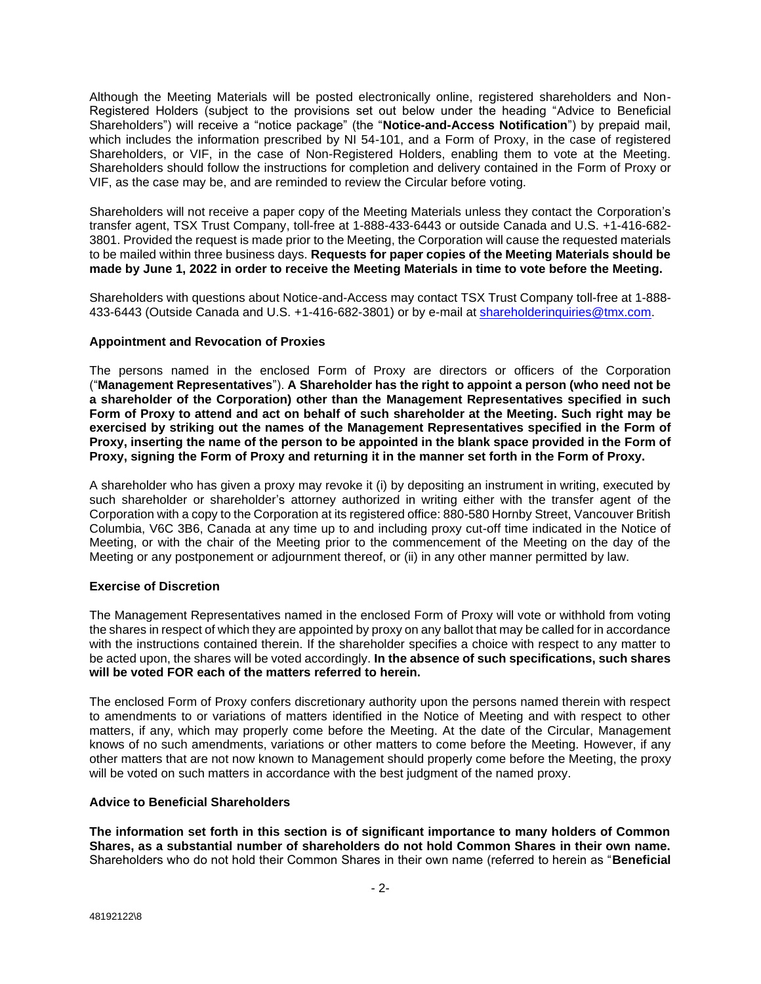Although the Meeting Materials will be posted electronically online, registered shareholders and Non-Registered Holders (subject to the provisions set out below under the heading "Advice to Beneficial Shareholders") will receive a "notice package" (the "**Notice-and-Access Notification**") by prepaid mail, which includes the information prescribed by NI 54-101, and a Form of Proxy, in the case of registered Shareholders, or VIF, in the case of Non-Registered Holders, enabling them to vote at the Meeting. Shareholders should follow the instructions for completion and delivery contained in the Form of Proxy or VIF, as the case may be, and are reminded to review the Circular before voting.

Shareholders will not receive a paper copy of the Meeting Materials unless they contact the Corporation's transfer agent, TSX Trust Company, toll-free at 1-888-433-6443 or outside Canada and U.S. +1-416-682- 3801. Provided the request is made prior to the Meeting, the Corporation will cause the requested materials to be mailed within three business days. **Requests for paper copies of the Meeting Materials should be made by June 1, 2022 in order to receive the Meeting Materials in time to vote before the Meeting.**

Shareholders with questions about Notice-and-Access may contact TSX Trust Company toll-free at 1-888 433-6443 (Outside Canada and U.S. +1-416-682-3801) or by e-mail at [shareholderinquiries@tmx.com.](mailto:shareholderinquiries@tmx.com)

# **Appointment and Revocation of Proxies**

The persons named in the enclosed Form of Proxy are directors or officers of the Corporation ("**Management Representatives**"). **A Shareholder has the right to appoint a person (who need not be a shareholder of the Corporation) other than the Management Representatives specified in such Form of Proxy to attend and act on behalf of such shareholder at the Meeting. Such right may be exercised by striking out the names of the Management Representatives specified in the Form of Proxy, inserting the name of the person to be appointed in the blank space provided in the Form of Proxy, signing the Form of Proxy and returning it in the manner set forth in the Form of Proxy.**

A shareholder who has given a proxy may revoke it (i) by depositing an instrument in writing, executed by such shareholder or shareholder's attorney authorized in writing either with the transfer agent of the Corporation with a copy to the Corporation at its registered office: 880-580 Hornby Street, Vancouver British Columbia, V6C 3B6, Canada at any time up to and including proxy cut-off time indicated in the Notice of Meeting, or with the chair of the Meeting prior to the commencement of the Meeting on the day of the Meeting or any postponement or adjournment thereof, or (ii) in any other manner permitted by law.

### **Exercise of Discretion**

The Management Representatives named in the enclosed Form of Proxy will vote or withhold from voting the shares in respect of which they are appointed by proxy on any ballot that may be called for in accordance with the instructions contained therein. If the shareholder specifies a choice with respect to any matter to be acted upon, the shares will be voted accordingly. **In the absence of such specifications, such shares will be voted FOR each of the matters referred to herein.**

The enclosed Form of Proxy confers discretionary authority upon the persons named therein with respect to amendments to or variations of matters identified in the Notice of Meeting and with respect to other matters, if any, which may properly come before the Meeting. At the date of the Circular, Management knows of no such amendments, variations or other matters to come before the Meeting. However, if any other matters that are not now known to Management should properly come before the Meeting, the proxy will be voted on such matters in accordance with the best judgment of the named proxy.

### **Advice to Beneficial Shareholders**

**The information set forth in this section is of significant importance to many holders of Common Shares, as a substantial number of shareholders do not hold Common Shares in their own name.** Shareholders who do not hold their Common Shares in their own name (referred to herein as "**Beneficial**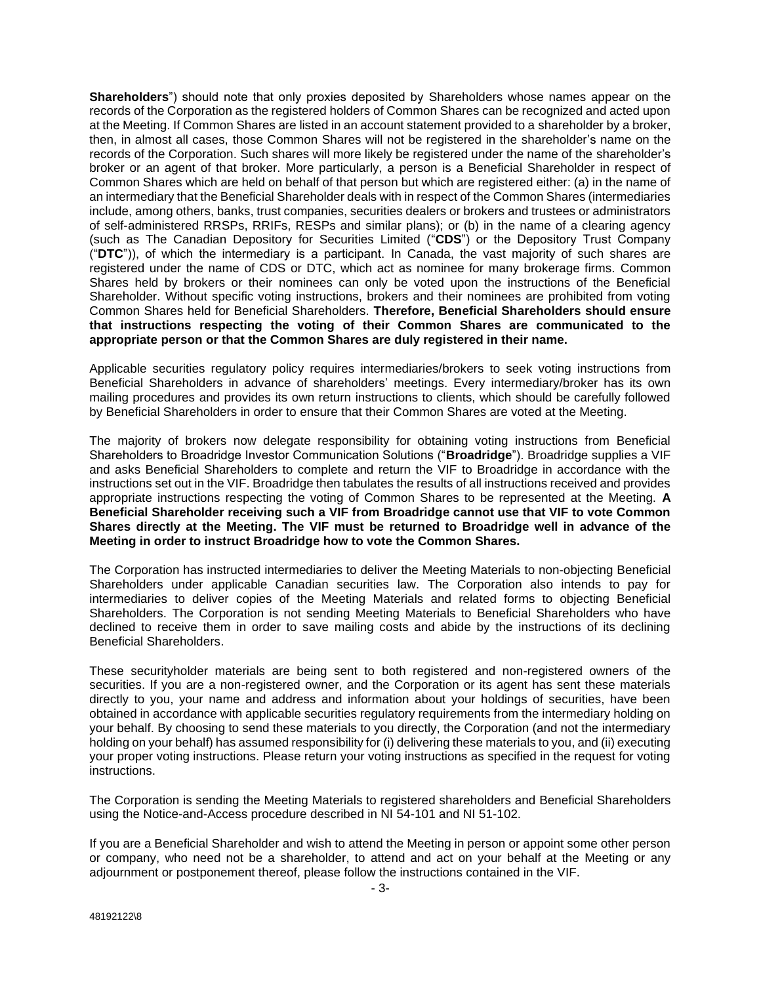**Shareholders**") should note that only proxies deposited by Shareholders whose names appear on the records of the Corporation as the registered holders of Common Shares can be recognized and acted upon at the Meeting. If Common Shares are listed in an account statement provided to a shareholder by a broker, then, in almost all cases, those Common Shares will not be registered in the shareholder's name on the records of the Corporation. Such shares will more likely be registered under the name of the shareholder's broker or an agent of that broker. More particularly, a person is a Beneficial Shareholder in respect of Common Shares which are held on behalf of that person but which are registered either: (a) in the name of an intermediary that the Beneficial Shareholder deals with in respect of the Common Shares (intermediaries include, among others, banks, trust companies, securities dealers or brokers and trustees or administrators of self-administered RRSPs, RRIFs, RESPs and similar plans); or (b) in the name of a clearing agency (such as The Canadian Depository for Securities Limited ("**CDS**") or the Depository Trust Company ("**DTC**")), of which the intermediary is a participant. In Canada, the vast majority of such shares are registered under the name of CDS or DTC, which act as nominee for many brokerage firms. Common Shares held by brokers or their nominees can only be voted upon the instructions of the Beneficial Shareholder. Without specific voting instructions, brokers and their nominees are prohibited from voting Common Shares held for Beneficial Shareholders. **Therefore, Beneficial Shareholders should ensure that instructions respecting the voting of their Common Shares are communicated to the appropriate person or that the Common Shares are duly registered in their name.**

Applicable securities regulatory policy requires intermediaries/brokers to seek voting instructions from Beneficial Shareholders in advance of shareholders' meetings. Every intermediary/broker has its own mailing procedures and provides its own return instructions to clients, which should be carefully followed by Beneficial Shareholders in order to ensure that their Common Shares are voted at the Meeting.

The majority of brokers now delegate responsibility for obtaining voting instructions from Beneficial Shareholders to Broadridge Investor Communication Solutions ("**Broadridge**"). Broadridge supplies a VIF and asks Beneficial Shareholders to complete and return the VIF to Broadridge in accordance with the instructions set out in the VIF. Broadridge then tabulates the results of all instructions received and provides appropriate instructions respecting the voting of Common Shares to be represented at the Meeting. **A Beneficial Shareholder receiving such a VIF from Broadridge cannot use that VIF to vote Common Shares directly at the Meeting. The VIF must be returned to Broadridge well in advance of the Meeting in order to instruct Broadridge how to vote the Common Shares.**

The Corporation has instructed intermediaries to deliver the Meeting Materials to non-objecting Beneficial Shareholders under applicable Canadian securities law. The Corporation also intends to pay for intermediaries to deliver copies of the Meeting Materials and related forms to objecting Beneficial Shareholders. The Corporation is not sending Meeting Materials to Beneficial Shareholders who have declined to receive them in order to save mailing costs and abide by the instructions of its declining Beneficial Shareholders.

These securityholder materials are being sent to both registered and non-registered owners of the securities. If you are a non-registered owner, and the Corporation or its agent has sent these materials directly to you, your name and address and information about your holdings of securities, have been obtained in accordance with applicable securities regulatory requirements from the intermediary holding on your behalf. By choosing to send these materials to you directly, the Corporation (and not the intermediary holding on your behalf) has assumed responsibility for (i) delivering these materials to you, and (ii) executing your proper voting instructions. Please return your voting instructions as specified in the request for voting instructions.

The Corporation is sending the Meeting Materials to registered shareholders and Beneficial Shareholders using the Notice-and-Access procedure described in NI 54-101 and NI 51-102.

If you are a Beneficial Shareholder and wish to attend the Meeting in person or appoint some other person or company, who need not be a shareholder, to attend and act on your behalf at the Meeting or any adjournment or postponement thereof, please follow the instructions contained in the VIF.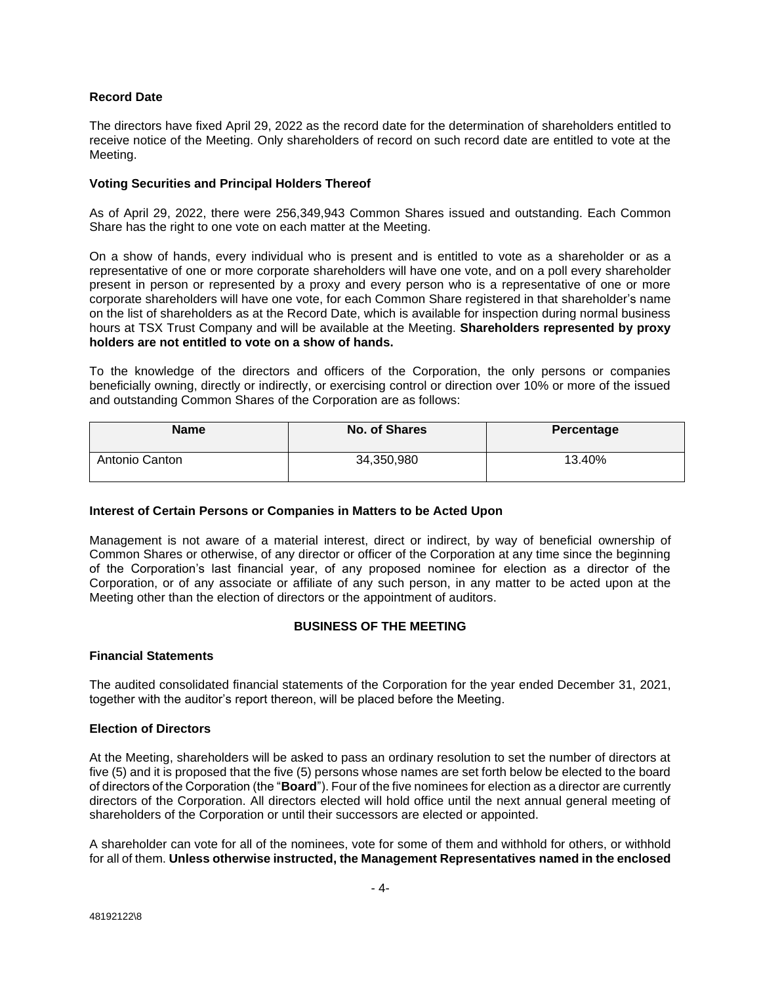# **Record Date**

The directors have fixed April 29, 2022 as the record date for the determination of shareholders entitled to receive notice of the Meeting. Only shareholders of record on such record date are entitled to vote at the Meeting.

### **Voting Securities and Principal Holders Thereof**

As of April 29, 2022, there were 256,349,943 Common Shares issued and outstanding. Each Common Share has the right to one vote on each matter at the Meeting.

On a show of hands, every individual who is present and is entitled to vote as a shareholder or as a representative of one or more corporate shareholders will have one vote, and on a poll every shareholder present in person or represented by a proxy and every person who is a representative of one or more corporate shareholders will have one vote, for each Common Share registered in that shareholder's name on the list of shareholders as at the Record Date, which is available for inspection during normal business hours at TSX Trust Company and will be available at the Meeting. **Shareholders represented by proxy holders are not entitled to vote on a show of hands.**

To the knowledge of the directors and officers of the Corporation, the only persons or companies beneficially owning, directly or indirectly, or exercising control or direction over 10% or more of the issued and outstanding Common Shares of the Corporation are as follows:

| <b>Name</b>    | No. of Shares | Percentage |
|----------------|---------------|------------|
| Antonio Canton | 34,350,980    | 13.40%     |

### **Interest of Certain Persons or Companies in Matters to be Acted Upon**

Management is not aware of a material interest, direct or indirect, by way of beneficial ownership of Common Shares or otherwise, of any director or officer of the Corporation at any time since the beginning of the Corporation's last financial year, of any proposed nominee for election as a director of the Corporation, or of any associate or affiliate of any such person, in any matter to be acted upon at the Meeting other than the election of directors or the appointment of auditors.

# **BUSINESS OF THE MEETING**

### **Financial Statements**

The audited consolidated financial statements of the Corporation for the year ended December 31, 2021, together with the auditor's report thereon, will be placed before the Meeting.

### **Election of Directors**

At the Meeting, shareholders will be asked to pass an ordinary resolution to set the number of directors at five (5) and it is proposed that the five (5) persons whose names are set forth below be elected to the board of directors of the Corporation (the "**Board**"). Four of the five nominees for election as a director are currently directors of the Corporation. All directors elected will hold office until the next annual general meeting of shareholders of the Corporation or until their successors are elected or appointed.

A shareholder can vote for all of the nominees, vote for some of them and withhold for others, or withhold for all of them. **Unless otherwise instructed, the Management Representatives named in the enclosed**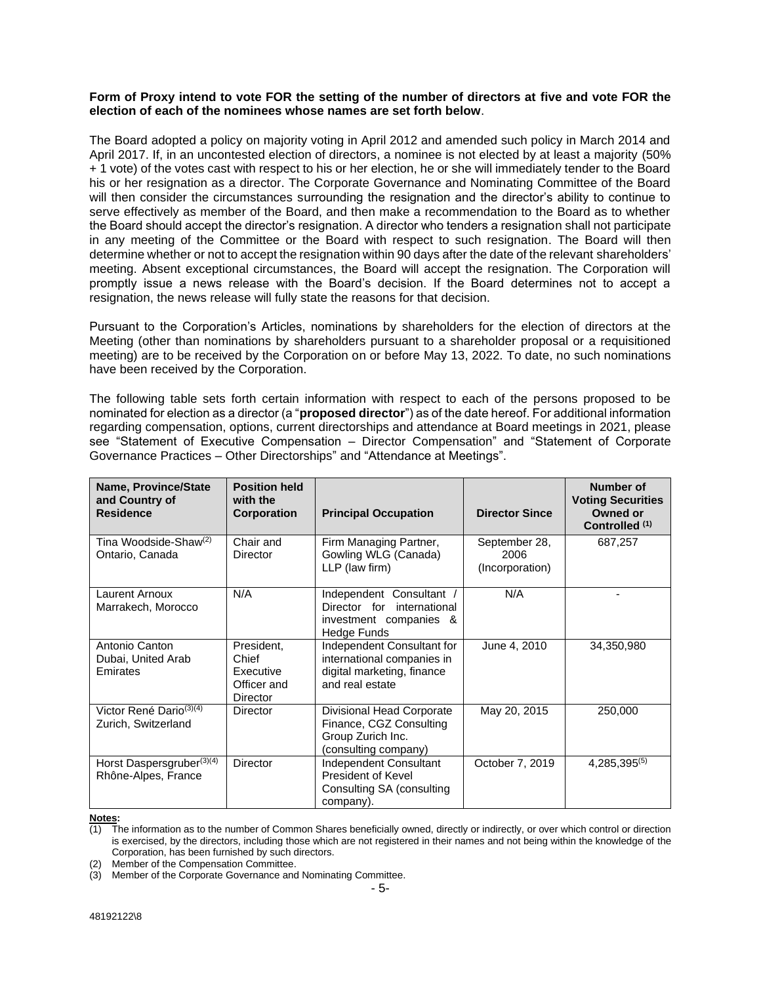### **Form of Proxy intend to vote FOR the setting of the number of directors at five and vote FOR the election of each of the nominees whose names are set forth below**.

The Board adopted a policy on majority voting in April 2012 and amended such policy in March 2014 and April 2017. If, in an uncontested election of directors, a nominee is not elected by at least a majority (50% + 1 vote) of the votes cast with respect to his or her election, he or she will immediately tender to the Board his or her resignation as a director. The Corporate Governance and Nominating Committee of the Board will then consider the circumstances surrounding the resignation and the director's ability to continue to serve effectively as member of the Board, and then make a recommendation to the Board as to whether the Board should accept the director's resignation. A director who tenders a resignation shall not participate in any meeting of the Committee or the Board with respect to such resignation. The Board will then determine whether or not to accept the resignation within 90 days after the date of the relevant shareholders' meeting. Absent exceptional circumstances, the Board will accept the resignation. The Corporation will promptly issue a news release with the Board's decision. If the Board determines not to accept a resignation, the news release will fully state the reasons for that decision.

Pursuant to the Corporation's Articles, nominations by shareholders for the election of directors at the Meeting (other than nominations by shareholders pursuant to a shareholder proposal or a requisitioned meeting) are to be received by the Corporation on or before May 13, 2022. To date, no such nominations have been received by the Corporation.

The following table sets forth certain information with respect to each of the persons proposed to be nominated for election as a director (a "**proposed director**") as of the date hereof. For additional information regarding compensation, options, current directorships and attendance at Board meetings in 2021, please see "Statement of Executive Compensation – Director Compensation" and "Statement of Corporate Governance Practices – Other Directorships" and "Attendance at Meetings".

| Name, Province/State<br>and Country of<br><b>Residence</b>   | <b>Position held</b><br>with the<br>Corporation                    | <b>Principal Occupation</b>                                                                               | <b>Director Since</b>                    | Number of<br><b>Voting Securities</b><br><b>Owned or</b><br>Controlled <sup>(1)</sup> |
|--------------------------------------------------------------|--------------------------------------------------------------------|-----------------------------------------------------------------------------------------------------------|------------------------------------------|---------------------------------------------------------------------------------------|
| Tina Woodside-Shaw <sup>(2)</sup><br>Ontario, Canada         | Chair and<br><b>Director</b>                                       | Firm Managing Partner,<br>Gowling WLG (Canada)<br>LLP (law firm)                                          | September 28,<br>2006<br>(Incorporation) | 687,257                                                                               |
| Laurent Arnoux<br>Marrakech, Morocco                         | N/A                                                                | Independent Consultant<br>Director for international<br>investment companies &<br>Hedge Funds             | N/A                                      |                                                                                       |
| Antonio Canton<br>Dubai, United Arab<br>Emirates             | President,<br>Chief<br>Executive<br>Officer and<br><b>Director</b> | Independent Consultant for<br>international companies in<br>digital marketing, finance<br>and real estate | June 4, 2010                             | 34,350,980                                                                            |
| Victor René Dario <sup>(3)(4)</sup><br>Zurich, Switzerland   | Director                                                           | Divisional Head Corporate<br>Finance, CGZ Consulting<br>Group Zurich Inc.<br>(consulting company)         | May 20, 2015                             | 250,000                                                                               |
| Horst Daspersgruber <sup>(3)(4)</sup><br>Rhône-Alpes, France | Director                                                           | Independent Consultant<br>President of Kevel<br>Consulting SA (consulting<br>company).                    | October 7, 2019                          | $4,285,395^{(5)}$                                                                     |

**Notes:** 

 $(1)$  The information as to the number of Common Shares beneficially owned, directly or indirectly, or over which control or direction is exercised, by the directors, including those which are not registered in their names and not being within the knowledge of the Corporation, has been furnished by such directors.

<sup>(2)</sup> Member of the Compensation Committee.

<sup>(3)</sup> Member of the Corporate Governance and Nominating Committee.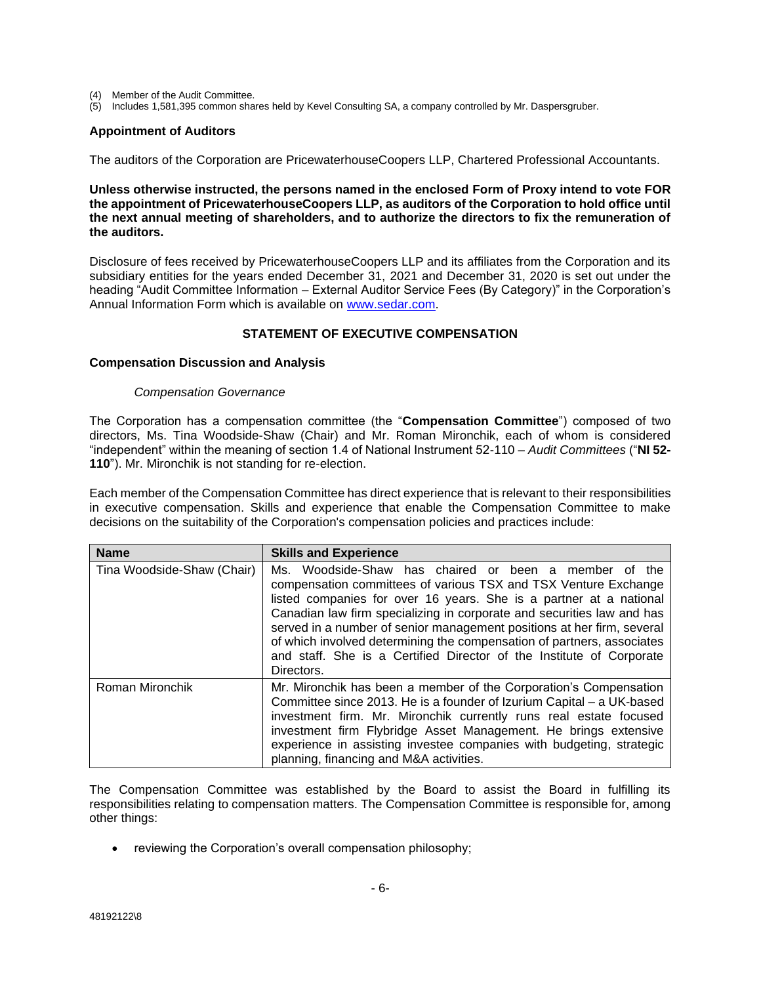- (4) Member of the Audit Committee.
- (5) Includes 1,581,395 common shares held by Kevel Consulting SA, a company controlled by Mr. Daspersgruber.

### **Appointment of Auditors**

The auditors of the Corporation are PricewaterhouseCoopers LLP, Chartered Professional Accountants.

**Unless otherwise instructed, the persons named in the enclosed Form of Proxy intend to vote FOR the appointment of PricewaterhouseCoopers LLP, as auditors of the Corporation to hold office until the next annual meeting of shareholders, and to authorize the directors to fix the remuneration of the auditors.**

Disclosure of fees received by PricewaterhouseCoopers LLP and its affiliates from the Corporation and its subsidiary entities for the years ended December 31, 2021 and December 31, 2020 is set out under the heading "Audit Committee Information – External Auditor Service Fees (By Category)" in the Corporation's Annual Information Form which is available on [www.sedar.com.](http://www.sedar.com/)

### **STATEMENT OF EXECUTIVE COMPENSATION**

### **Compensation Discussion and Analysis**

### *Compensation Governance*

The Corporation has a compensation committee (the "**Compensation Committee**") composed of two directors, Ms. Tina Woodside-Shaw (Chair) and Mr. Roman Mironchik, each of whom is considered "independent" within the meaning of section 1.4 of National Instrument 52-110 – *Audit Committees* ("**NI 52- 110**"). Mr. Mironchik is not standing for re-election.

Each member of the Compensation Committee has direct experience that is relevant to their responsibilities in executive compensation. Skills and experience that enable the Compensation Committee to make decisions on the suitability of the Corporation's compensation policies and practices include:

| <b>Name</b>                | <b>Skills and Experience</b>                                                                                                                                                                                                                                                                                                                                                                                                                                                                                          |
|----------------------------|-----------------------------------------------------------------------------------------------------------------------------------------------------------------------------------------------------------------------------------------------------------------------------------------------------------------------------------------------------------------------------------------------------------------------------------------------------------------------------------------------------------------------|
| Tina Woodside-Shaw (Chair) | Ms. Woodside-Shaw has chaired or been a<br>member of the<br>compensation committees of various TSX and TSX Venture Exchange<br>listed companies for over 16 years. She is a partner at a national<br>Canadian law firm specializing in corporate and securities law and has<br>served in a number of senior management positions at her firm, several<br>of which involved determining the compensation of partners, associates<br>and staff. She is a Certified Director of the Institute of Corporate<br>Directors. |
| Roman Mironchik            | Mr. Mironchik has been a member of the Corporation's Compensation<br>Committee since 2013. He is a founder of Izurium Capital - a UK-based<br>investment firm. Mr. Mironchik currently runs real estate focused<br>investment firm Flybridge Asset Management. He brings extensive<br>experience in assisting investee companies with budgeting, strategic<br>planning, financing and M&A activities.                                                                                                                 |

The Compensation Committee was established by the Board to assist the Board in fulfilling its responsibilities relating to compensation matters. The Compensation Committee is responsible for, among other things:

• reviewing the Corporation's overall compensation philosophy;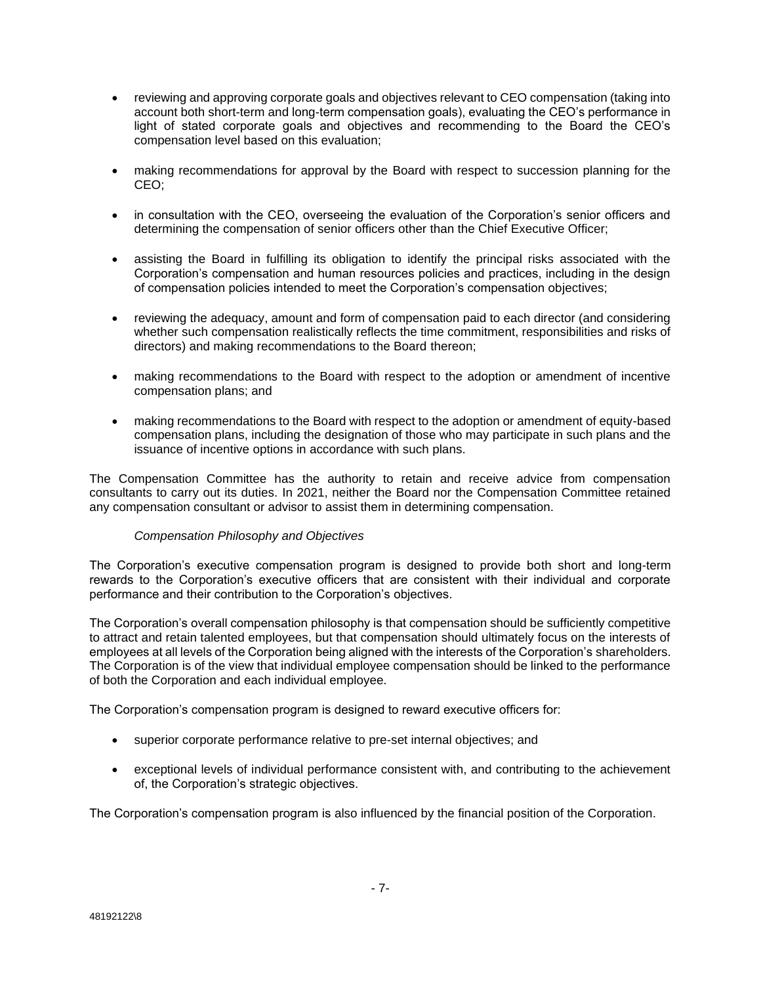- reviewing and approving corporate goals and objectives relevant to CEO compensation (taking into account both short-term and long-term compensation goals), evaluating the CEO's performance in light of stated corporate goals and objectives and recommending to the Board the CEO's compensation level based on this evaluation;
- making recommendations for approval by the Board with respect to succession planning for the CEO;
- in consultation with the CEO, overseeing the evaluation of the Corporation's senior officers and determining the compensation of senior officers other than the Chief Executive Officer;
- assisting the Board in fulfilling its obligation to identify the principal risks associated with the Corporation's compensation and human resources policies and practices, including in the design of compensation policies intended to meet the Corporation's compensation objectives;
- reviewing the adequacy, amount and form of compensation paid to each director (and considering whether such compensation realistically reflects the time commitment, responsibilities and risks of directors) and making recommendations to the Board thereon;
- making recommendations to the Board with respect to the adoption or amendment of incentive compensation plans; and
- making recommendations to the Board with respect to the adoption or amendment of equity-based compensation plans, including the designation of those who may participate in such plans and the issuance of incentive options in accordance with such plans.

The Compensation Committee has the authority to retain and receive advice from compensation consultants to carry out its duties. In 2021, neither the Board nor the Compensation Committee retained any compensation consultant or advisor to assist them in determining compensation.

### *Compensation Philosophy and Objectives*

The Corporation's executive compensation program is designed to provide both short and long-term rewards to the Corporation's executive officers that are consistent with their individual and corporate performance and their contribution to the Corporation's objectives.

The Corporation's overall compensation philosophy is that compensation should be sufficiently competitive to attract and retain talented employees, but that compensation should ultimately focus on the interests of employees at all levels of the Corporation being aligned with the interests of the Corporation's shareholders. The Corporation is of the view that individual employee compensation should be linked to the performance of both the Corporation and each individual employee.

The Corporation's compensation program is designed to reward executive officers for:

- superior corporate performance relative to pre-set internal objectives; and
- exceptional levels of individual performance consistent with, and contributing to the achievement of, the Corporation's strategic objectives.

The Corporation's compensation program is also influenced by the financial position of the Corporation.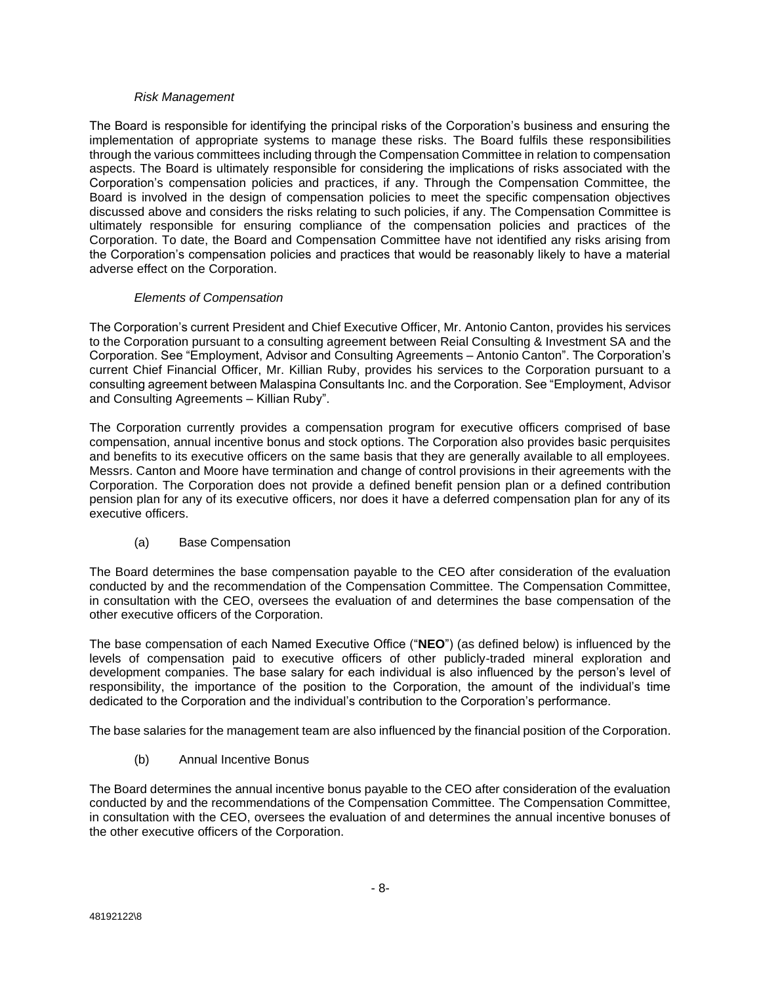## *Risk Management*

The Board is responsible for identifying the principal risks of the Corporation's business and ensuring the implementation of appropriate systems to manage these risks. The Board fulfils these responsibilities through the various committees including through the Compensation Committee in relation to compensation aspects. The Board is ultimately responsible for considering the implications of risks associated with the Corporation's compensation policies and practices, if any. Through the Compensation Committee, the Board is involved in the design of compensation policies to meet the specific compensation objectives discussed above and considers the risks relating to such policies, if any. The Compensation Committee is ultimately responsible for ensuring compliance of the compensation policies and practices of the Corporation. To date, the Board and Compensation Committee have not identified any risks arising from the Corporation's compensation policies and practices that would be reasonably likely to have a material adverse effect on the Corporation.

# *Elements of Compensation*

The Corporation's current President and Chief Executive Officer, Mr. Antonio Canton, provides his services to the Corporation pursuant to a consulting agreement between Reial Consulting & Investment SA and the Corporation. See "Employment, Advisor and Consulting Agreements – Antonio Canton". The Corporation's current Chief Financial Officer, Mr. Killian Ruby, provides his services to the Corporation pursuant to a consulting agreement between Malaspina Consultants Inc. and the Corporation. See "Employment, Advisor and Consulting Agreements – Killian Ruby".

The Corporation currently provides a compensation program for executive officers comprised of base compensation, annual incentive bonus and stock options. The Corporation also provides basic perquisites and benefits to its executive officers on the same basis that they are generally available to all employees. Messrs. Canton and Moore have termination and change of control provisions in their agreements with the Corporation. The Corporation does not provide a defined benefit pension plan or a defined contribution pension plan for any of its executive officers, nor does it have a deferred compensation plan for any of its executive officers.

# (a) Base Compensation

The Board determines the base compensation payable to the CEO after consideration of the evaluation conducted by and the recommendation of the Compensation Committee. The Compensation Committee, in consultation with the CEO, oversees the evaluation of and determines the base compensation of the other executive officers of the Corporation.

The base compensation of each Named Executive Office ("**NEO**") (as defined below) is influenced by the levels of compensation paid to executive officers of other publicly-traded mineral exploration and development companies. The base salary for each individual is also influenced by the person's level of responsibility, the importance of the position to the Corporation, the amount of the individual's time dedicated to the Corporation and the individual's contribution to the Corporation's performance.

The base salaries for the management team are also influenced by the financial position of the Corporation.

(b) Annual Incentive Bonus

The Board determines the annual incentive bonus payable to the CEO after consideration of the evaluation conducted by and the recommendations of the Compensation Committee. The Compensation Committee, in consultation with the CEO, oversees the evaluation of and determines the annual incentive bonuses of the other executive officers of the Corporation.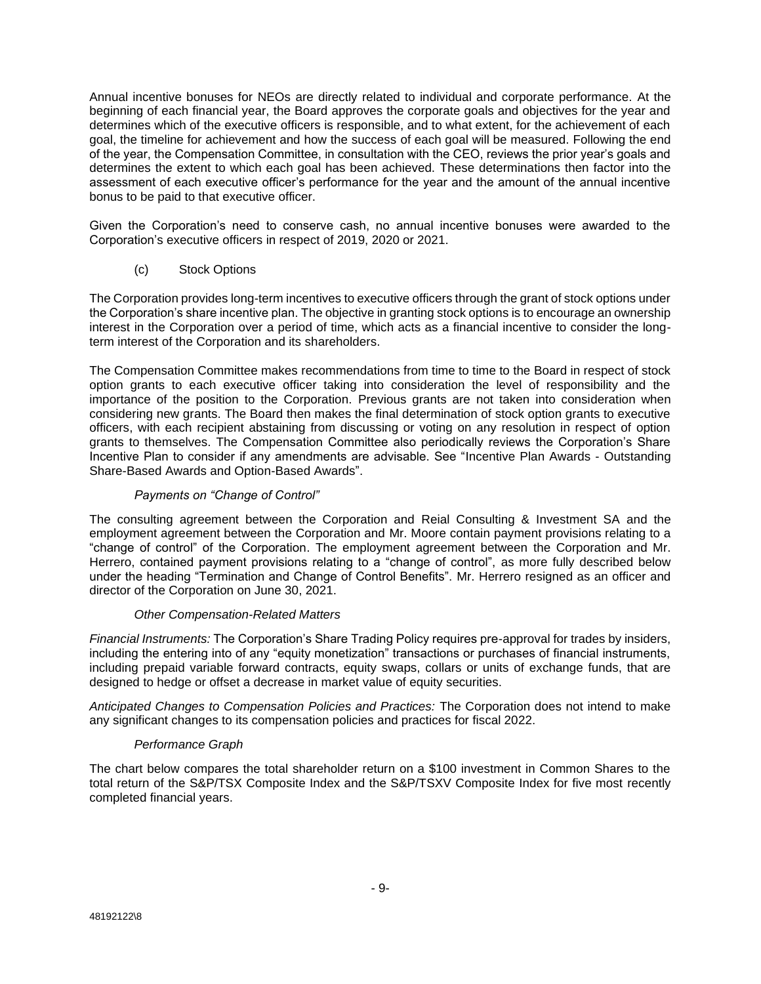Annual incentive bonuses for NEOs are directly related to individual and corporate performance. At the beginning of each financial year, the Board approves the corporate goals and objectives for the year and determines which of the executive officers is responsible, and to what extent, for the achievement of each goal, the timeline for achievement and how the success of each goal will be measured. Following the end of the year, the Compensation Committee, in consultation with the CEO, reviews the prior year's goals and determines the extent to which each goal has been achieved. These determinations then factor into the assessment of each executive officer's performance for the year and the amount of the annual incentive bonus to be paid to that executive officer.

Given the Corporation's need to conserve cash, no annual incentive bonuses were awarded to the Corporation's executive officers in respect of 2019, 2020 or 2021.

# (c) Stock Options

The Corporation provides long-term incentives to executive officers through the grant of stock options under the Corporation's share incentive plan. The objective in granting stock options is to encourage an ownership interest in the Corporation over a period of time, which acts as a financial incentive to consider the longterm interest of the Corporation and its shareholders.

The Compensation Committee makes recommendations from time to time to the Board in respect of stock option grants to each executive officer taking into consideration the level of responsibility and the importance of the position to the Corporation. Previous grants are not taken into consideration when considering new grants. The Board then makes the final determination of stock option grants to executive officers, with each recipient abstaining from discussing or voting on any resolution in respect of option grants to themselves. The Compensation Committee also periodically reviews the Corporation's Share Incentive Plan to consider if any amendments are advisable. See "Incentive Plan Awards - Outstanding Share-Based Awards and Option-Based Awards".

# *Payments on "Change of Control"*

The consulting agreement between the Corporation and Reial Consulting & Investment SA and the employment agreement between the Corporation and Mr. Moore contain payment provisions relating to a "change of control" of the Corporation. The employment agreement between the Corporation and Mr. Herrero, contained payment provisions relating to a "change of control", as more fully described below under the heading "Termination and Change of Control Benefits". Mr. Herrero resigned as an officer and director of the Corporation on June 30, 2021.

### *Other Compensation-Related Matters*

*Financial Instruments:* The Corporation's Share Trading Policy requires pre-approval for trades by insiders, including the entering into of any "equity monetization" transactions or purchases of financial instruments, including prepaid variable forward contracts, equity swaps, collars or units of exchange funds, that are designed to hedge or offset a decrease in market value of equity securities.

*Anticipated Changes to Compensation Policies and Practices:* The Corporation does not intend to make any significant changes to its compensation policies and practices for fiscal 2022.

### *Performance Graph*

The chart below compares the total shareholder return on a \$100 investment in Common Shares to the total return of the S&P/TSX Composite Index and the S&P/TSXV Composite Index for five most recently completed financial years.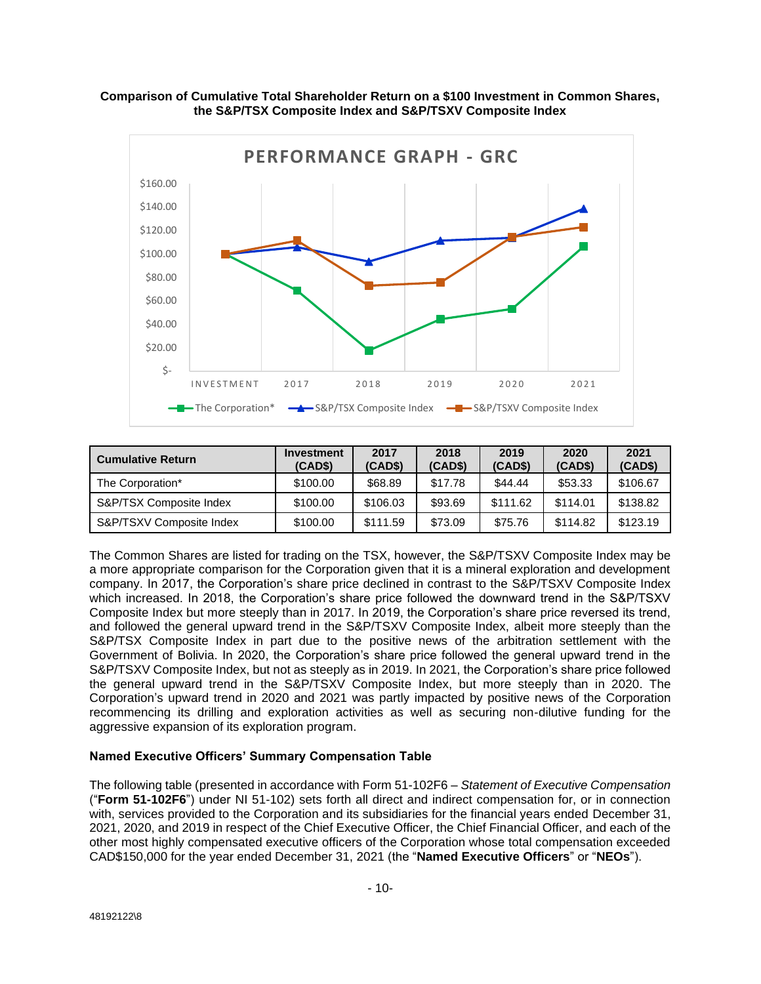



| <b>Cumulative Return</b> | Investment<br>(CAD\$) | 2017<br>(CAD\$) | 2018<br>(CAD\$) | 2019<br>(CAD\$) | 2020<br>(CAD\$) | 2021<br>(CAD\$) |
|--------------------------|-----------------------|-----------------|-----------------|-----------------|-----------------|-----------------|
| The Corporation*         | \$100.00              | \$68.89         | \$17.78         | \$44.44         | \$53.33         | \$106.67        |
| S&P/TSX Composite Index  | \$100.00              | \$106.03        | \$93.69         | \$111.62        | \$114.01        | \$138.82        |
| S&P/TSXV Composite Index | \$100.00              | \$111.59        | \$73.09         | \$75.76         | \$114.82        | \$123.19        |

The Common Shares are listed for trading on the TSX, however, the S&P/TSXV Composite Index may be a more appropriate comparison for the Corporation given that it is a mineral exploration and development company. In 2017, the Corporation's share price declined in contrast to the S&P/TSXV Composite Index which increased. In 2018, the Corporation's share price followed the downward trend in the S&P/TSXV Composite Index but more steeply than in 2017. In 2019, the Corporation's share price reversed its trend, and followed the general upward trend in the S&P/TSXV Composite Index, albeit more steeply than the S&P/TSX Composite Index in part due to the positive news of the arbitration settlement with the Government of Bolivia. In 2020, the Corporation's share price followed the general upward trend in the S&P/TSXV Composite Index, but not as steeply as in 2019. In 2021, the Corporation's share price followed the general upward trend in the S&P/TSXV Composite Index, but more steeply than in 2020. The Corporation's upward trend in 2020 and 2021 was partly impacted by positive news of the Corporation recommencing its drilling and exploration activities as well as securing non-dilutive funding for the aggressive expansion of its exploration program.

### **Named Executive Officers' Summary Compensation Table**

The following table (presented in accordance with Form 51-102F6 *– Statement of Executive Compensation* ("**Form 51-102F6**") under NI 51-102) sets forth all direct and indirect compensation for, or in connection with, services provided to the Corporation and its subsidiaries for the financial years ended December 31, 2021, 2020, and 2019 in respect of the Chief Executive Officer, the Chief Financial Officer, and each of the other most highly compensated executive officers of the Corporation whose total compensation exceeded CAD\$150,000 for the year ended December 31, 2021 (the "**Named Executive Officers**" or "**NEOs**").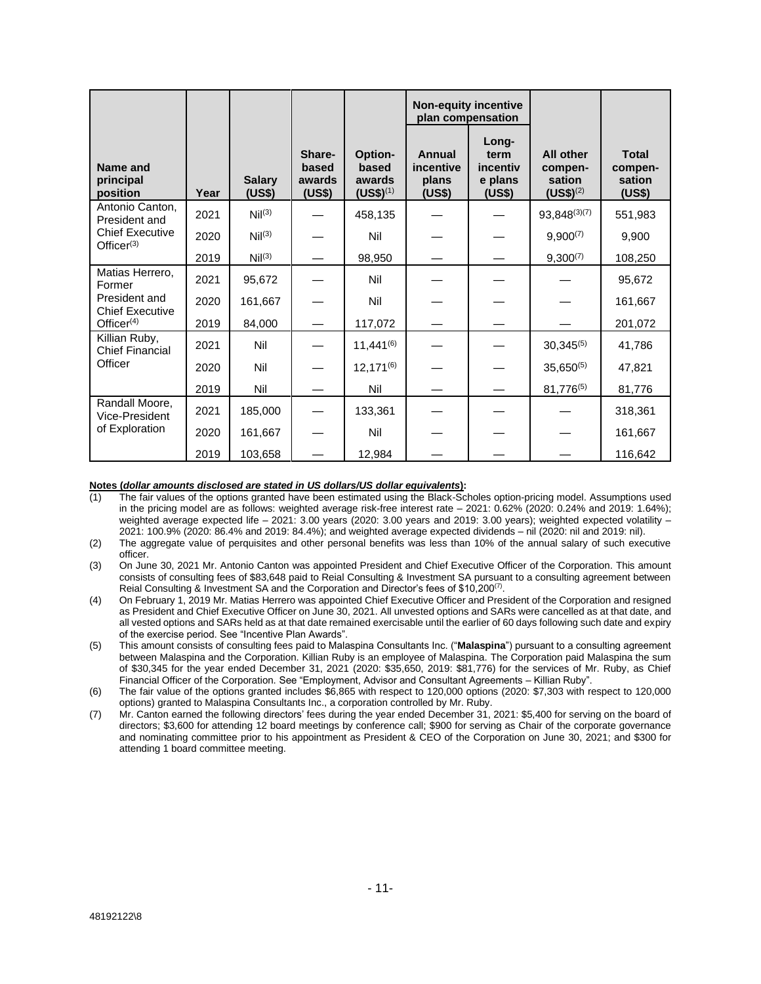|                                         |      |                         |                                     |                                             | <b>Non-equity incentive</b><br>plan compensation |                                                |                                                        |                                             |
|-----------------------------------------|------|-------------------------|-------------------------------------|---------------------------------------------|--------------------------------------------------|------------------------------------------------|--------------------------------------------------------|---------------------------------------------|
| Name and<br>principal<br>position       | Year | <b>Salary</b><br>(US\$) | Share-<br>based<br>awards<br>(US\$) | Option-<br>based<br>awards<br>$(US$)^{(1)}$ | Annual<br>incentive<br>plans<br>(US\$)           | Long-<br>term<br>incentiv<br>e plans<br>(US\$) | <b>All other</b><br>compen-<br>sation<br>$(US$)^{(2)}$ | <b>Total</b><br>compen-<br>sation<br>(US\$) |
| Antonio Canton,<br>President and        | 2021 | Nil <sup>(3)</sup>      |                                     | 458,135                                     |                                                  |                                                | $93,848^{(3)(7)}$                                      | 551,983                                     |
| <b>Chief Executive</b>                  | 2020 | Nil <sup>(3)</sup>      |                                     | Nil                                         |                                                  |                                                | $9,900^{(7)}$                                          | 9,900                                       |
| Office $r^{(3)}$                        | 2019 | Nil <sup>(3)</sup>      |                                     | 98,950                                      |                                                  |                                                | $9,300^{(7)}$                                          | 108,250                                     |
| Matias Herrero,<br>Former               | 2021 | 95,672                  |                                     | Nil                                         |                                                  |                                                |                                                        | 95,672                                      |
| President and<br><b>Chief Executive</b> | 2020 | 161,667                 |                                     | Nil                                         |                                                  |                                                |                                                        | 161,667                                     |
| $Officer^{(4)}$                         | 2019 | 84,000                  |                                     | 117,072                                     |                                                  |                                                |                                                        | 201,072                                     |
| Killian Ruby,<br><b>Chief Financial</b> | 2021 | Nil                     |                                     | $11,441^{(6)}$                              |                                                  |                                                | $30,345^{(5)}$                                         | 41,786                                      |
| Officer                                 | 2020 | Nil                     |                                     | $12,171^{(6)}$                              |                                                  |                                                | $35,650^{(5)}$                                         | 47,821                                      |
|                                         | 2019 | Nil                     |                                     | Nil                                         |                                                  |                                                | 81,776(5)                                              | 81,776                                      |
| Randall Moore,<br>Vice-President        | 2021 | 185,000                 |                                     | 133,361                                     |                                                  |                                                |                                                        | 318,361                                     |
| of Exploration                          | 2020 | 161,667                 |                                     | Nil                                         |                                                  |                                                |                                                        | 161,667                                     |
|                                         | 2019 | 103,658                 |                                     | 12,984                                      |                                                  |                                                |                                                        | 116,642                                     |

#### **Notes (***dollar amounts disclosed are stated in US dollars/US dollar equivalents***):**

- (1) The fair values of the options granted have been estimated using the Black-Scholes option-pricing model. Assumptions used in the pricing model are as follows: weighted average risk-free interest rate – 2021: 0.62% (2020: 0.24% and 2019: 1.64%); weighted average expected life – 2021: 3.00 years (2020: 3.00 years and 2019: 3.00 years); weighted expected volatility – 2021: 100.9% (2020: 86.4% and 2019: 84.4%); and weighted average expected dividends – nil (2020: nil and 2019: nil).
- (2) The aggregate value of perquisites and other personal benefits was less than 10% of the annual salary of such executive officer.
- (3) On June 30, 2021 Mr. Antonio Canton was appointed President and Chief Executive Officer of the Corporation. This amount consists of consulting fees of \$83,648 paid to Reial Consulting & Investment SA pursuant to a consulting agreement between Reial Consulting & Investment SA and the Corporation and Director's fees of \$10,200<sup>(7)</sup>.
- (4) On February 1, 2019 Mr. Matias Herrero was appointed Chief Executive Officer and President of the Corporation and resigned as President and Chief Executive Officer on June 30, 2021. All unvested options and SARs were cancelled as at that date, and all vested options and SARs held as at that date remained exercisable until the earlier of 60 days following such date and expiry of the exercise period. See "Incentive Plan Awards".
- (5) This amount consists of consulting fees paid to Malaspina Consultants Inc. ("**Malaspina**") pursuant to a consulting agreement between Malaspina and the Corporation. Killian Ruby is an employee of Malaspina. The Corporation paid Malaspina the sum of \$30,345 for the year ended December 31, 2021 (2020: \$35,650, 2019: \$81,776) for the services of Mr. Ruby, as Chief Financial Officer of the Corporation. See "Employment, Advisor and Consultant Agreements – Killian Ruby".
- (6) The fair value of the options granted includes \$6,865 with respect to 120,000 options (2020: \$7,303 with respect to 120,000 options) granted to Malaspina Consultants Inc., a corporation controlled by Mr. Ruby.
- (7) Mr. Canton earned the following directors' fees during the year ended December 31, 2021: \$5,400 for serving on the board of directors; \$3,600 for attending 12 board meetings by conference call; \$900 for serving as Chair of the corporate governance and nominating committee prior to his appointment as President & CEO of the Corporation on June 30, 2021; and \$300 for attending 1 board committee meeting.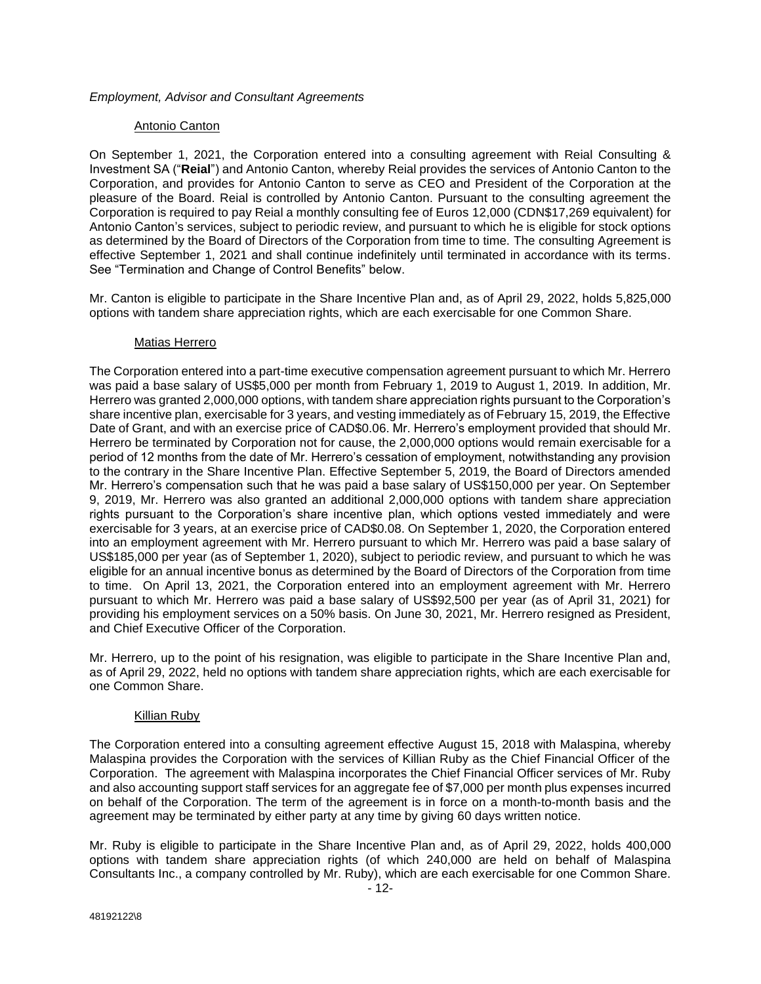### *Employment, Advisor and Consultant Agreements*

### Antonio Canton

On September 1, 2021, the Corporation entered into a consulting agreement with Reial Consulting & Investment SA ("**Reial**") and Antonio Canton, whereby Reial provides the services of Antonio Canton to the Corporation, and provides for Antonio Canton to serve as CEO and President of the Corporation at the pleasure of the Board. Reial is controlled by Antonio Canton. Pursuant to the consulting agreement the Corporation is required to pay Reial a monthly consulting fee of Euros 12,000 (CDN\$17,269 equivalent) for Antonio Canton's services, subject to periodic review, and pursuant to which he is eligible for stock options as determined by the Board of Directors of the Corporation from time to time. The consulting Agreement is effective September 1, 2021 and shall continue indefinitely until terminated in accordance with its terms. See "Termination and Change of Control Benefits" below.

Mr. Canton is eligible to participate in the Share Incentive Plan and, as of April 29, 2022, holds 5,825,000 options with tandem share appreciation rights, which are each exercisable for one Common Share.

### Matias Herrero

The Corporation entered into a part-time executive compensation agreement pursuant to which Mr. Herrero was paid a base salary of US\$5,000 per month from February 1, 2019 to August 1, 2019. In addition, Mr. Herrero was granted 2,000,000 options, with tandem share appreciation rights pursuant to the Corporation's share incentive plan, exercisable for 3 years, and vesting immediately as of February 15, 2019, the Effective Date of Grant, and with an exercise price of CAD\$0.06. Mr. Herrero's employment provided that should Mr. Herrero be terminated by Corporation not for cause, the 2,000,000 options would remain exercisable for a period of 12 months from the date of Mr. Herrero's cessation of employment, notwithstanding any provision to the contrary in the Share Incentive Plan. Effective September 5, 2019, the Board of Directors amended Mr. Herrero's compensation such that he was paid a base salary of US\$150,000 per year. On September 9, 2019, Mr. Herrero was also granted an additional 2,000,000 options with tandem share appreciation rights pursuant to the Corporation's share incentive plan, which options vested immediately and were exercisable for 3 years, at an exercise price of CAD\$0.08. On September 1, 2020, the Corporation entered into an employment agreement with Mr. Herrero pursuant to which Mr. Herrero was paid a base salary of US\$185,000 per year (as of September 1, 2020), subject to periodic review, and pursuant to which he was eligible for an annual incentive bonus as determined by the Board of Directors of the Corporation from time to time. On April 13, 2021, the Corporation entered into an employment agreement with Mr. Herrero pursuant to which Mr. Herrero was paid a base salary of US\$92,500 per year (as of April 31, 2021) for providing his employment services on a 50% basis. On June 30, 2021, Mr. Herrero resigned as President, and Chief Executive Officer of the Corporation.

Mr. Herrero, up to the point of his resignation, was eligible to participate in the Share Incentive Plan and, as of April 29, 2022, held no options with tandem share appreciation rights, which are each exercisable for one Common Share.

### Killian Ruby

The Corporation entered into a consulting agreement effective August 15, 2018 with Malaspina, whereby Malaspina provides the Corporation with the services of Killian Ruby as the Chief Financial Officer of the Corporation. The agreement with Malaspina incorporates the Chief Financial Officer services of Mr. Ruby and also accounting support staff services for an aggregate fee of \$7,000 per month plus expenses incurred on behalf of the Corporation. The term of the agreement is in force on a month-to-month basis and the agreement may be terminated by either party at any time by giving 60 days written notice.

Mr. Ruby is eligible to participate in the Share Incentive Plan and, as of April 29, 2022, holds 400,000 options with tandem share appreciation rights (of which 240,000 are held on behalf of Malaspina Consultants Inc., a company controlled by Mr. Ruby), which are each exercisable for one Common Share.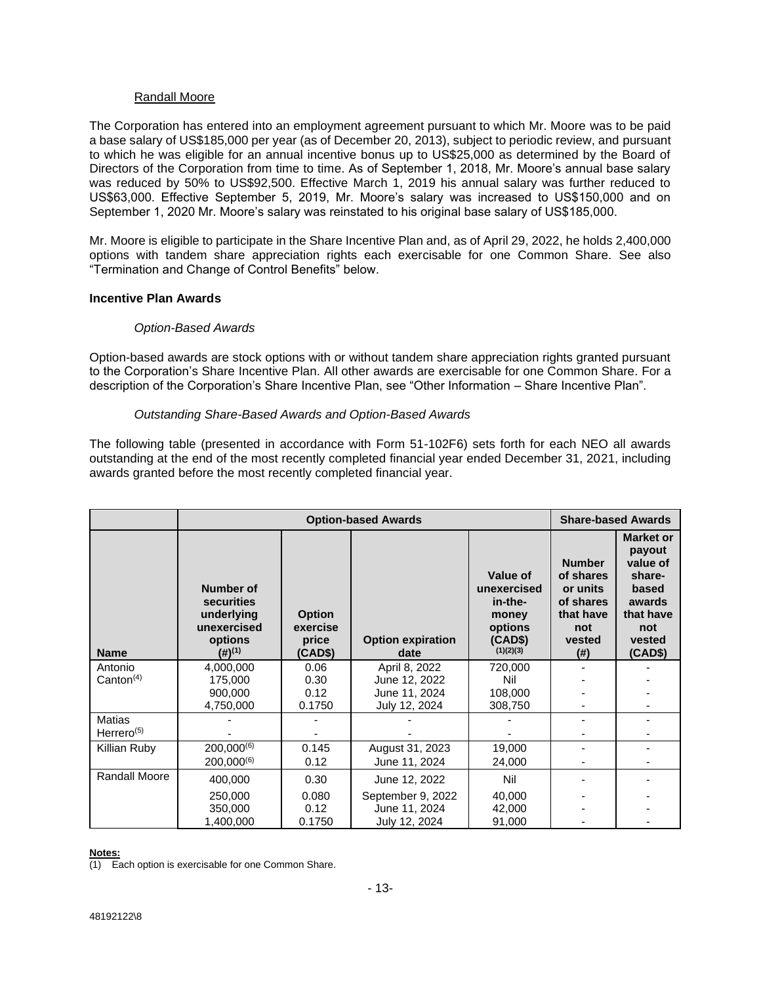### Randall Moore

The Corporation has entered into an employment agreement pursuant to which Mr. Moore was to be paid a base salary of US\$185,000 per year (as of December 20, 2013), subject to periodic review, and pursuant to which he was eligible for an annual incentive bonus up to US\$25,000 as determined by the Board of Directors of the Corporation from time to time. As of September 1, 2018, Mr. Moore's annual base salary was reduced by 50% to US\$92,500. Effective March 1, 2019 his annual salary was further reduced to US\$63,000. Effective September 5, 2019, Mr. Moore's salary was increased to US\$150,000 and on September 1, 2020 Mr. Moore's salary was reinstated to his original base salary of US\$185,000.

Mr. Moore is eligible to participate in the Share Incentive Plan and, as of April 29, 2022, he holds 2,400,000 options with tandem share appreciation rights each exercisable for one Common Share. See also "Termination and Change of Control Benefits" below.

### **Incentive Plan Awards**

### *Option-Based Awards*

Option-based awards are stock options with or without tandem share appreciation rights granted pursuant to the Corporation's Share Incentive Plan. All other awards are exercisable for one Common Share. For a description of the Corporation's Share Incentive Plan, see "Other Information – Share Incentive Plan".

### *Outstanding Share-Based Awards and Option-Based Awards*

The following table (presented in accordance with Form 51-102F6) sets forth for each NEO all awards outstanding at the end of the most recently completed financial year ended December 31, 2021, including awards granted before the most recently completed financial year.

|                        |                                                                                         |                                               | <b>Option-based Awards</b>       |                                                                                | <b>Share-based Awards</b>                                                                      |                                                                                                              |
|------------------------|-----------------------------------------------------------------------------------------|-----------------------------------------------|----------------------------------|--------------------------------------------------------------------------------|------------------------------------------------------------------------------------------------|--------------------------------------------------------------------------------------------------------------|
| <b>Name</b>            | Number of<br>securities<br>underlying<br>unexercised<br>options<br>$(4)$ <sup>(1)</sup> | <b>Option</b><br>exercise<br>price<br>(CAD\$) | <b>Option expiration</b><br>date | Value of<br>unexercised<br>in-the-<br>money<br>options<br>(CAD\$)<br>(1)(2)(3) | <b>Number</b><br>of shares<br>or units<br>of shares<br>that have<br>not<br>vested<br>$($ # $)$ | <b>Market or</b><br>payout<br>value of<br>share-<br>based<br>awards<br>that have<br>not<br>vested<br>(CAD\$) |
| Antonio                | 4,000,000                                                                               | 0.06                                          | April 8, 2022                    | 720,000                                                                        |                                                                                                |                                                                                                              |
| Canton <sup>(4)</sup>  | 175,000<br>900.000                                                                      | 0.30<br>0.12                                  | June 12, 2022<br>June 11, 2024   | Nil<br>108.000                                                                 |                                                                                                |                                                                                                              |
|                        | 4,750,000                                                                               | 0.1750                                        | July 12, 2024                    | 308,750                                                                        |                                                                                                |                                                                                                              |
| <b>Matias</b>          |                                                                                         |                                               |                                  |                                                                                |                                                                                                |                                                                                                              |
| Herrero <sup>(5)</sup> |                                                                                         |                                               |                                  |                                                                                |                                                                                                |                                                                                                              |
| Killian Ruby           | $200,000^{(6)}$                                                                         | 0.145                                         | August 31, 2023                  | 19,000                                                                         | $\qquad \qquad \blacksquare$                                                                   |                                                                                                              |
|                        | $200,000^{(6)}$                                                                         | 0.12                                          | June 11, 2024                    | 24,000                                                                         |                                                                                                |                                                                                                              |
| Randall Moore          | 400,000                                                                                 | 0.30                                          | June 12, 2022                    | Nil                                                                            |                                                                                                |                                                                                                              |
|                        | 250,000                                                                                 | 0.080                                         | September 9, 2022                | 40,000                                                                         |                                                                                                |                                                                                                              |
|                        | 350,000                                                                                 | 0.12                                          | June 11, 2024                    | 42,000                                                                         |                                                                                                |                                                                                                              |
|                        | 1,400,000                                                                               | 0.1750                                        | July 12, 2024                    | 91,000                                                                         |                                                                                                |                                                                                                              |

### **Notes:**

(1) Each option is exercisable for one Common Share.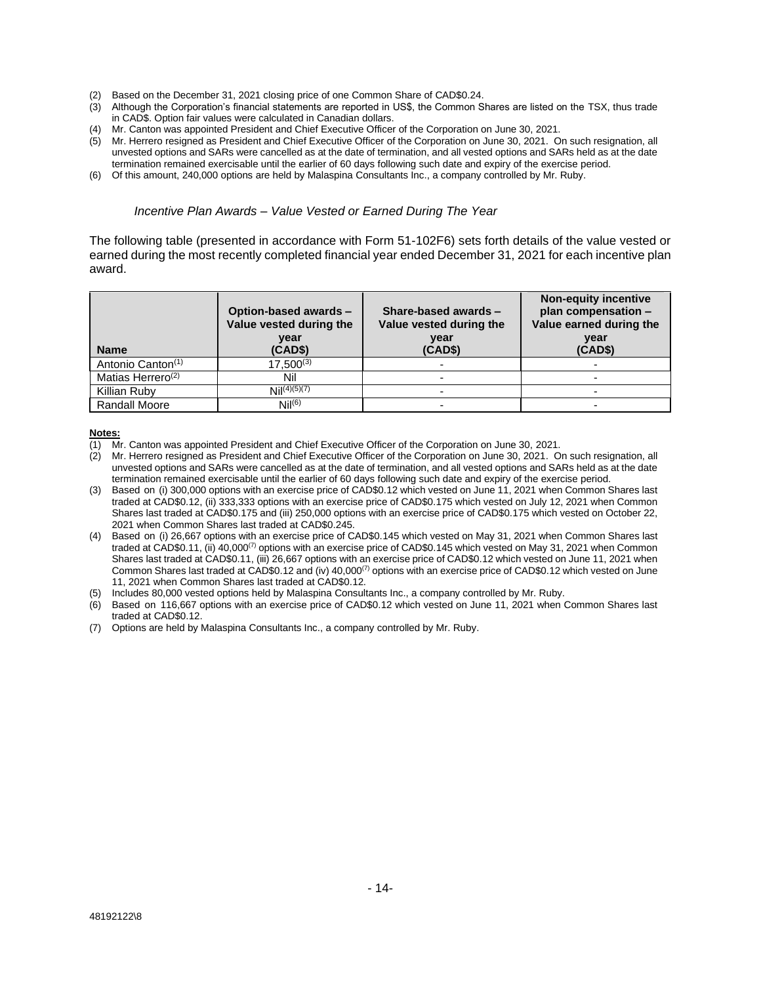- (2) Based on the December 31, 2021 closing price of one Common Share of CAD\$0.24.
- (3) Although the Corporation's financial statements are reported in US\$, the Common Shares are listed on the TSX, thus trade in CAD\$. Option fair values were calculated in Canadian dollars.
- (4) Mr. Canton was appointed President and Chief Executive Officer of the Corporation on June 30, 2021.
- (5) Mr. Herrero resigned as President and Chief Executive Officer of the Corporation on June 30, 2021. On such resignation, all unvested options and SARs were cancelled as at the date of termination, and all vested options and SARs held as at the date termination remained exercisable until the earlier of 60 days following such date and expiry of the exercise period.
- (6) Of this amount, 240,000 options are held by Malaspina Consultants Inc., a company controlled by Mr. Ruby.

#### *Incentive Plan Awards – Value Vested or Earned During The Year*

The following table (presented in accordance with Form 51-102F6) sets forth details of the value vested or earned during the most recently completed financial year ended December 31, 2021 for each incentive plan award.

| <b>Name</b>                   | Option-based awards -<br>Value vested during the<br>year<br>(CAD\$) | Share-based awards -<br>Value vested during the<br>year<br>(CAD\$) | <b>Non-equity incentive</b><br>plan compensation -<br>Value earned during the<br>year<br>(CAD\$) |
|-------------------------------|---------------------------------------------------------------------|--------------------------------------------------------------------|--------------------------------------------------------------------------------------------------|
| Antonio Canton <sup>(1)</sup> | $17,500^{(3)}$                                                      |                                                                    |                                                                                                  |
| Matias Herrero <sup>(2)</sup> | Nil                                                                 |                                                                    |                                                                                                  |
| Killian Ruby                  | Nil <sup>(4)(5)(7)</sup>                                            |                                                                    |                                                                                                  |
| Randall Moore                 | Nil <sup>(6)</sup>                                                  |                                                                    |                                                                                                  |

#### **Notes:**

- (1) Mr. Canton was appointed President and Chief Executive Officer of the Corporation on June 30, 2021.
- (2) Mr. Herrero resigned as President and Chief Executive Officer of the Corporation on June 30, 2021. On such resignation, all unvested options and SARs were cancelled as at the date of termination, and all vested options and SARs held as at the date termination remained exercisable until the earlier of 60 days following such date and expiry of the exercise period.
- (3) Based on (i) 300,000 options with an exercise price of CAD\$0.12 which vested on June 11, 2021 when Common Shares last traded at CAD\$0.12, (ii) 333,333 options with an exercise price of CAD\$0.175 which vested on July 12, 2021 when Common Shares last traded at CAD\$0.175 and (iii) 250,000 options with an exercise price of CAD\$0.175 which vested on October 22, 2021 when Common Shares last traded at CAD\$0.245.
- (4) Based on (i) 26,667 options with an exercise price of CAD\$0.145 which vested on May 31, 2021 when Common Shares last traded at CAD\$0.11, (ii) 40,000<sup>(7)</sup> options with an exercise price of CAD\$0.145 which vested on May 31, 2021 when Common Shares last traded at CAD\$0.11, (iii) 26,667 options with an exercise price of CAD\$0.12 which vested on June 11, 2021 when Common Shares last traded at CAD\$0.12 and (iv)  $40,000^{(7)}$  options with an exercise price of CAD\$0.12 which vested on June 11, 2021 when Common Shares last traded at CAD\$0.12.
- (5) Includes 80,000 vested options held by Malaspina Consultants Inc., a company controlled by Mr. Ruby.
- (6) Based on 116,667 options with an exercise price of CAD\$0.12 which vested on June 11, 2021 when Common Shares last traded at CAD\$0.12.
- (7) Options are held by Malaspina Consultants Inc., a company controlled by Mr. Ruby.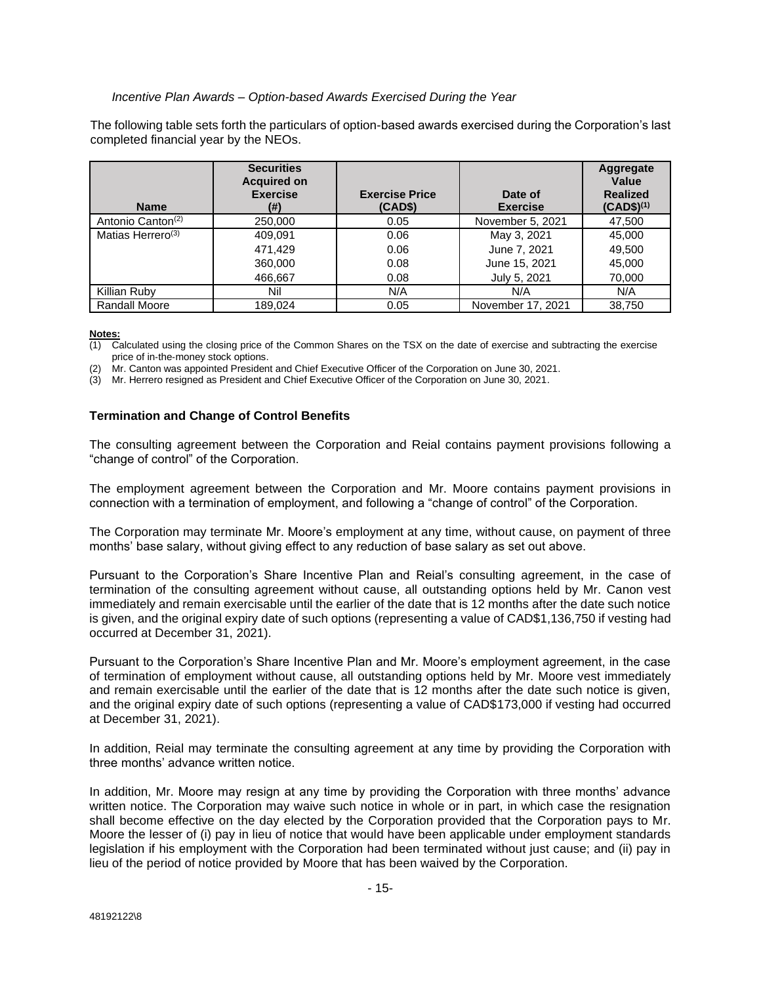## *Incentive Plan Awards – Option-based Awards Exercised During the Year*

The following table sets forth the particulars of option-based awards exercised during the Corporation's last completed financial year by the NEOs.

| <b>Name</b>                   | <b>Securities</b><br><b>Acquired on</b><br><b>Exercise</b><br>(#) | <b>Exercise Price</b><br>(CAD\$) | Date of<br><b>Exercise</b> | Aggregate<br>Value<br><b>Realized</b><br>$(CAD$)^{(1)}$ |
|-------------------------------|-------------------------------------------------------------------|----------------------------------|----------------------------|---------------------------------------------------------|
| Antonio Canton <sup>(2)</sup> | 250,000                                                           | 0.05                             | November 5, 2021           | 47,500                                                  |
| Matias Herrero <sup>(3)</sup> | 409.091                                                           | 0.06                             | May 3, 2021                | 45,000                                                  |
|                               | 471.429                                                           | 0.06                             | June 7, 2021               | 49,500                                                  |
|                               | 360,000                                                           | 0.08                             | June 15, 2021              | 45,000                                                  |
|                               | 466.667                                                           | 0.08                             | July 5, 2021               | 70,000                                                  |
| Killian Ruby                  | Nil                                                               | N/A                              | N/A                        | N/A                                                     |
| <b>Randall Moore</b>          | 189.024                                                           | 0.05                             | November 17, 2021          | 38,750                                                  |

### **Notes:**

 $(1)$  Calculated using the closing price of the Common Shares on the TSX on the date of exercise and subtracting the exercise price of in-the-money stock options.

(2) Mr. Canton was appointed President and Chief Executive Officer of the Corporation on June 30, 2021.

(3) Mr. Herrero resigned as President and Chief Executive Officer of the Corporation on June 30, 2021.

### **Termination and Change of Control Benefits**

The consulting agreement between the Corporation and Reial contains payment provisions following a "change of control" of the Corporation.

The employment agreement between the Corporation and Mr. Moore contains payment provisions in connection with a termination of employment, and following a "change of control" of the Corporation.

The Corporation may terminate Mr. Moore's employment at any time, without cause, on payment of three months' base salary, without giving effect to any reduction of base salary as set out above.

Pursuant to the Corporation's Share Incentive Plan and Reial's consulting agreement, in the case of termination of the consulting agreement without cause, all outstanding options held by Mr. Canon vest immediately and remain exercisable until the earlier of the date that is 12 months after the date such notice is given, and the original expiry date of such options (representing a value of CAD\$1,136,750 if vesting had occurred at December 31, 2021).

Pursuant to the Corporation's Share Incentive Plan and Mr. Moore's employment agreement, in the case of termination of employment without cause, all outstanding options held by Mr. Moore vest immediately and remain exercisable until the earlier of the date that is 12 months after the date such notice is given, and the original expiry date of such options (representing a value of CAD\$173,000 if vesting had occurred at December 31, 2021).

In addition, Reial may terminate the consulting agreement at any time by providing the Corporation with three months' advance written notice.

In addition, Mr. Moore may resign at any time by providing the Corporation with three months' advance written notice. The Corporation may waive such notice in whole or in part, in which case the resignation shall become effective on the day elected by the Corporation provided that the Corporation pays to Mr. Moore the lesser of (i) pay in lieu of notice that would have been applicable under employment standards legislation if his employment with the Corporation had been terminated without just cause; and (ii) pay in lieu of the period of notice provided by Moore that has been waived by the Corporation.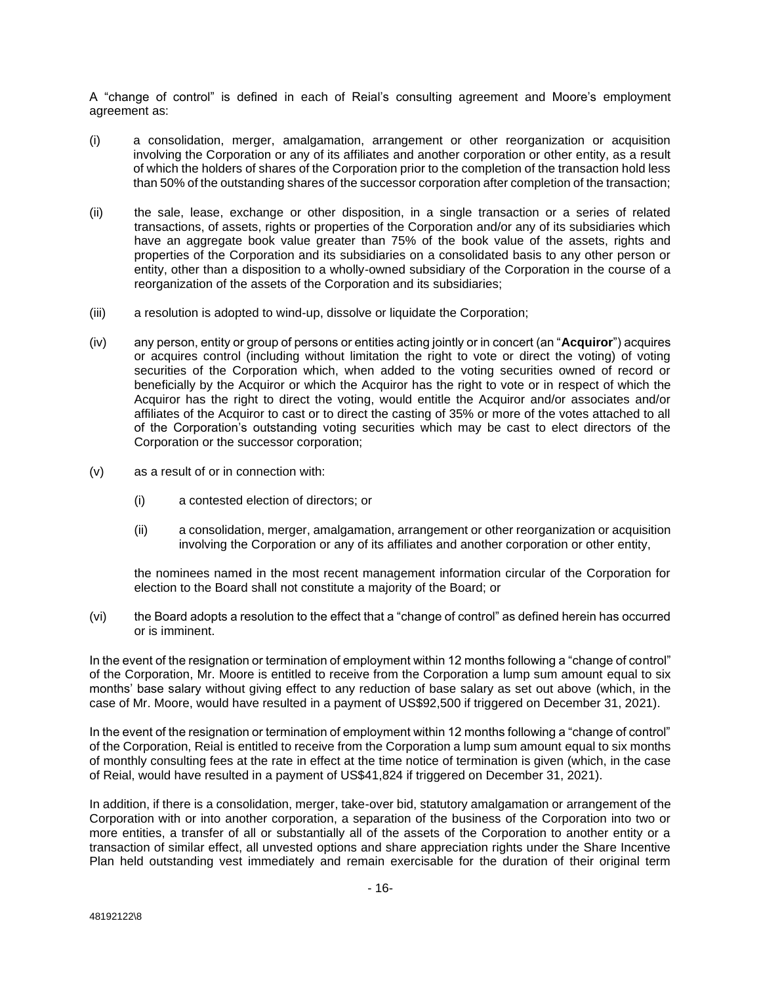A "change of control" is defined in each of Reial's consulting agreement and Moore's employment agreement as:

- (i) a consolidation, merger, amalgamation, arrangement or other reorganization or acquisition involving the Corporation or any of its affiliates and another corporation or other entity, as a result of which the holders of shares of the Corporation prior to the completion of the transaction hold less than 50% of the outstanding shares of the successor corporation after completion of the transaction;
- (ii) the sale, lease, exchange or other disposition, in a single transaction or a series of related transactions, of assets, rights or properties of the Corporation and/or any of its subsidiaries which have an aggregate book value greater than 75% of the book value of the assets, rights and properties of the Corporation and its subsidiaries on a consolidated basis to any other person or entity, other than a disposition to a wholly-owned subsidiary of the Corporation in the course of a reorganization of the assets of the Corporation and its subsidiaries;
- (iii) a resolution is adopted to wind-up, dissolve or liquidate the Corporation;
- (iv) any person, entity or group of persons or entities acting jointly or in concert (an "**Acquiror**") acquires or acquires control (including without limitation the right to vote or direct the voting) of voting securities of the Corporation which, when added to the voting securities owned of record or beneficially by the Acquiror or which the Acquiror has the right to vote or in respect of which the Acquiror has the right to direct the voting, would entitle the Acquiror and/or associates and/or affiliates of the Acquiror to cast or to direct the casting of 35% or more of the votes attached to all of the Corporation's outstanding voting securities which may be cast to elect directors of the Corporation or the successor corporation;
- (v) as a result of or in connection with:
	- (i) a contested election of directors; or
	- (ii) a consolidation, merger, amalgamation, arrangement or other reorganization or acquisition involving the Corporation or any of its affiliates and another corporation or other entity,

the nominees named in the most recent management information circular of the Corporation for election to the Board shall not constitute a majority of the Board; or

(vi) the Board adopts a resolution to the effect that a "change of control" as defined herein has occurred or is imminent.

In the event of the resignation or termination of employment within 12 months following a "change of control" of the Corporation, Mr. Moore is entitled to receive from the Corporation a lump sum amount equal to six months' base salary without giving effect to any reduction of base salary as set out above (which, in the case of Mr. Moore, would have resulted in a payment of US\$92,500 if triggered on December 31, 2021).

In the event of the resignation or termination of employment within 12 months following a "change of control" of the Corporation, Reial is entitled to receive from the Corporation a lump sum amount equal to six months of monthly consulting fees at the rate in effect at the time notice of termination is given (which, in the case of Reial, would have resulted in a payment of US\$41,824 if triggered on December 31, 2021).

In addition, if there is a consolidation, merger, take-over bid, statutory amalgamation or arrangement of the Corporation with or into another corporation, a separation of the business of the Corporation into two or more entities, a transfer of all or substantially all of the assets of the Corporation to another entity or a transaction of similar effect, all unvested options and share appreciation rights under the Share Incentive Plan held outstanding vest immediately and remain exercisable for the duration of their original term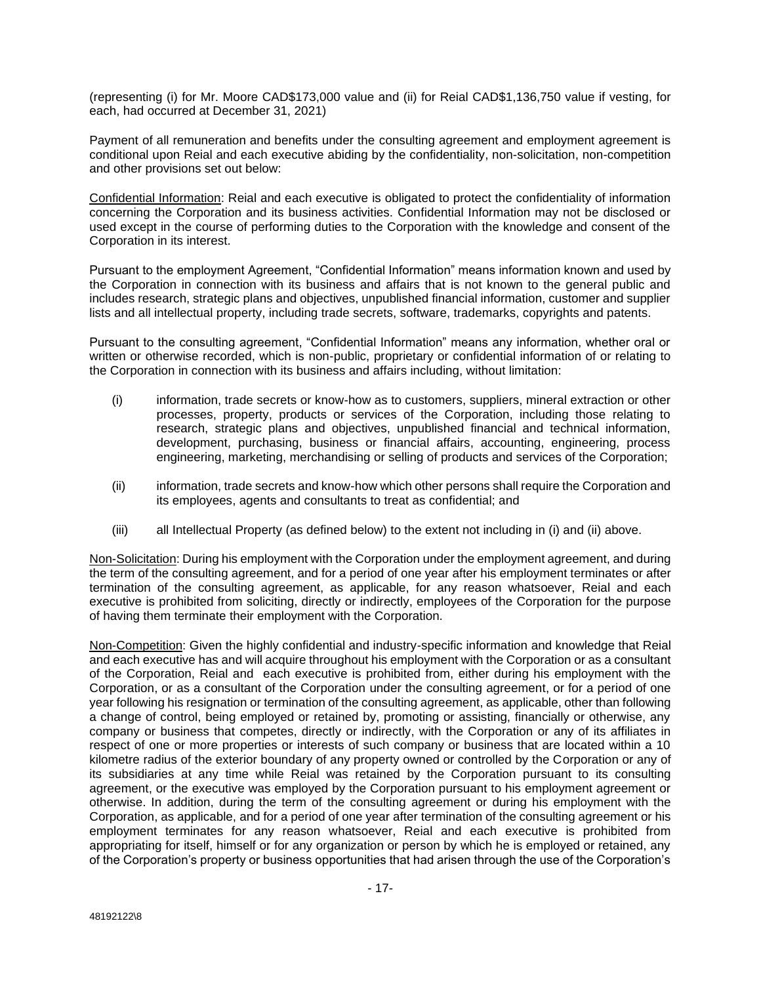(representing (i) for Mr. Moore CAD\$173,000 value and (ii) for Reial CAD\$1,136,750 value if vesting, for each, had occurred at December 31, 2021)

Payment of all remuneration and benefits under the consulting agreement and employment agreement is conditional upon Reial and each executive abiding by the confidentiality, non-solicitation, non-competition and other provisions set out below:

Confidential Information: Reial and each executive is obligated to protect the confidentiality of information concerning the Corporation and its business activities. Confidential Information may not be disclosed or used except in the course of performing duties to the Corporation with the knowledge and consent of the Corporation in its interest.

Pursuant to the employment Agreement, "Confidential Information" means information known and used by the Corporation in connection with its business and affairs that is not known to the general public and includes research, strategic plans and objectives, unpublished financial information, customer and supplier lists and all intellectual property, including trade secrets, software, trademarks, copyrights and patents.

Pursuant to the consulting agreement, "Confidential Information" means any information, whether oral or written or otherwise recorded, which is non-public, proprietary or confidential information of or relating to the Corporation in connection with its business and affairs including, without limitation:

- (i) information, trade secrets or know-how as to customers, suppliers, mineral extraction or other processes, property, products or services of the Corporation, including those relating to research, strategic plans and objectives, unpublished financial and technical information, development, purchasing, business or financial affairs, accounting, engineering, process engineering, marketing, merchandising or selling of products and services of the Corporation;
- (ii) information, trade secrets and know-how which other persons shall require the Corporation and its employees, agents and consultants to treat as confidential; and
- (iii) all Intellectual Property (as defined below) to the extent not including in (i) and (ii) above.

Non-Solicitation: During his employment with the Corporation under the employment agreement, and during the term of the consulting agreement, and for a period of one year after his employment terminates or after termination of the consulting agreement, as applicable, for any reason whatsoever, Reial and each executive is prohibited from soliciting, directly or indirectly, employees of the Corporation for the purpose of having them terminate their employment with the Corporation.

Non-Competition: Given the highly confidential and industry-specific information and knowledge that Reial and each executive has and will acquire throughout his employment with the Corporation or as a consultant of the Corporation, Reial and each executive is prohibited from, either during his employment with the Corporation, or as a consultant of the Corporation under the consulting agreement, or for a period of one year following his resignation or termination of the consulting agreement, as applicable, other than following a change of control, being employed or retained by, promoting or assisting, financially or otherwise, any company or business that competes, directly or indirectly, with the Corporation or any of its affiliates in respect of one or more properties or interests of such company or business that are located within a 10 kilometre radius of the exterior boundary of any property owned or controlled by the Corporation or any of its subsidiaries at any time while Reial was retained by the Corporation pursuant to its consulting agreement, or the executive was employed by the Corporation pursuant to his employment agreement or otherwise. In addition, during the term of the consulting agreement or during his employment with the Corporation, as applicable, and for a period of one year after termination of the consulting agreement or his employment terminates for any reason whatsoever, Reial and each executive is prohibited from appropriating for itself, himself or for any organization or person by which he is employed or retained, any of the Corporation's property or business opportunities that had arisen through the use of the Corporation's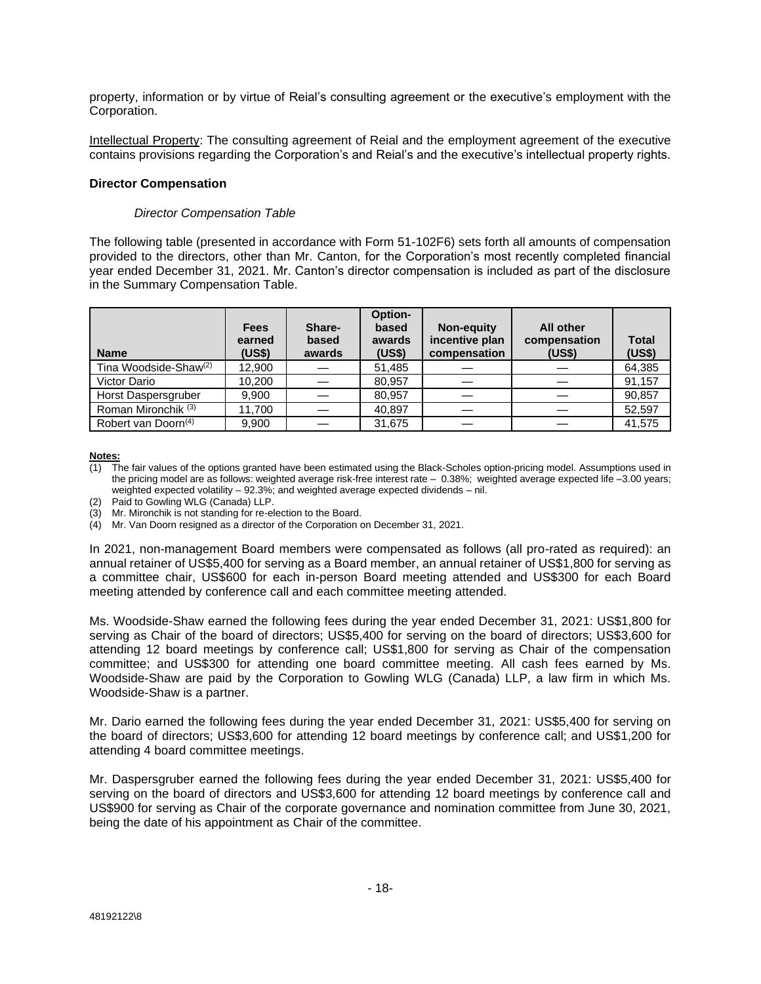property, information or by virtue of Reial's consulting agreement or the executive's employment with the Corporation.

Intellectual Property: The consulting agreement of Reial and the employment agreement of the executive contains provisions regarding the Corporation's and Reial's and the executive's intellectual property rights.

## **Director Compensation**

# *Director Compensation Table*

The following table (presented in accordance with Form 51-102F6) sets forth all amounts of compensation provided to the directors, other than Mr. Canton, for the Corporation's most recently completed financial year ended December 31, 2021. Mr. Canton's director compensation is included as part of the disclosure in the Summary Compensation Table.

| <b>Name</b>                       | <b>Fees</b><br>earned<br>(US\$) | Share-<br>based<br>awards | Option-<br>based<br>awards<br>(US\$) | Non-equity<br>incentive plan<br>compensation | <b>All other</b><br>compensation<br>(USS) | <b>Total</b><br>(US\$) |
|-----------------------------------|---------------------------------|---------------------------|--------------------------------------|----------------------------------------------|-------------------------------------------|------------------------|
| Tina Woodside-Shaw <sup>(2)</sup> | 12,900                          |                           | 51,485                               |                                              |                                           | 64,385                 |
| Victor Dario                      | 10,200                          |                           | 80,957                               |                                              |                                           | 91,157                 |
| Horst Daspersgruber               | 9,900                           |                           | 80,957                               |                                              |                                           | 90,857                 |
| Roman Mironchik <sup>(3)</sup>    | 11,700                          |                           | 40.897                               |                                              |                                           | 52.597                 |
| Robert van Doorn <sup>(4)</sup>   | 9,900                           |                           | 31,675                               |                                              |                                           | 41,575                 |

### **Notes:**

- (2) Paid to Gowling WLG (Canada) LLP.
- (3) Mr. Mironchik is not standing for re-election to the Board.

(4) Mr. Van Doorn resigned as a director of the Corporation on December 31, 2021.

In 2021, non-management Board members were compensated as follows (all pro-rated as required): an annual retainer of US\$5,400 for serving as a Board member, an annual retainer of US\$1,800 for serving as a committee chair, US\$600 for each in-person Board meeting attended and US\$300 for each Board meeting attended by conference call and each committee meeting attended.

Ms. Woodside-Shaw earned the following fees during the year ended December 31, 2021: US\$1,800 for serving as Chair of the board of directors; US\$5,400 for serving on the board of directors; US\$3,600 for attending 12 board meetings by conference call; US\$1,800 for serving as Chair of the compensation committee; and US\$300 for attending one board committee meeting. All cash fees earned by Ms. Woodside-Shaw are paid by the Corporation to Gowling WLG (Canada) LLP, a law firm in which Ms. Woodside-Shaw is a partner.

Mr. Dario earned the following fees during the year ended December 31, 2021: US\$5,400 for serving on the board of directors; US\$3,600 for attending 12 board meetings by conference call; and US\$1,200 for attending 4 board committee meetings.

Mr. Daspersgruber earned the following fees during the year ended December 31, 2021: US\$5,400 for serving on the board of directors and US\$3,600 for attending 12 board meetings by conference call and US\$900 for serving as Chair of the corporate governance and nomination committee from June 30, 2021, being the date of his appointment as Chair of the committee.

<sup>(1)</sup> The fair values of the options granted have been estimated using the Black-Scholes option-pricing model. Assumptions used in the pricing model are as follows: weighted average risk-free interest rate – 0.38%; weighted average expected life –3.00 years; weighted expected volatility – 92.3%; and weighted average expected dividends – nil.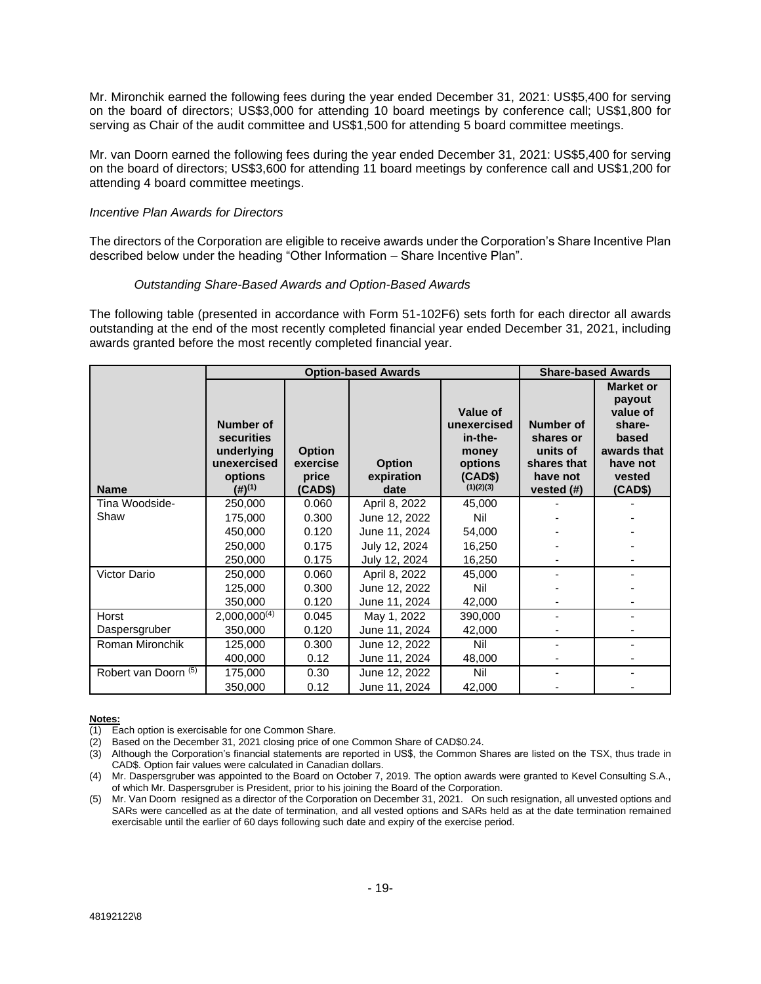Mr. Mironchik earned the following fees during the year ended December 31, 2021: US\$5,400 for serving on the board of directors; US\$3,000 for attending 10 board meetings by conference call; US\$1,800 for serving as Chair of the audit committee and US\$1,500 for attending 5 board committee meetings.

Mr. van Doorn earned the following fees during the year ended December 31, 2021: US\$5,400 for serving on the board of directors; US\$3,600 for attending 11 board meetings by conference call and US\$1,200 for attending 4 board committee meetings.

### *Incentive Plan Awards for Directors*

The directors of the Corporation are eligible to receive awards under the Corporation's Share Incentive Plan described below under the heading "Other Information – Share Incentive Plan".

### *Outstanding Share-Based Awards and Option-Based Awards*

The following table (presented in accordance with Form 51-102F6) sets forth for each director all awards outstanding at the end of the most recently completed financial year ended December 31, 2021, including awards granted before the most recently completed financial year.

|                                 |                                                                                         |                                               | <b>Option-based Awards</b>          |                                                                                |                                                                             | <b>Share-based Awards</b>                                                                                 |  |  |
|---------------------------------|-----------------------------------------------------------------------------------------|-----------------------------------------------|-------------------------------------|--------------------------------------------------------------------------------|-----------------------------------------------------------------------------|-----------------------------------------------------------------------------------------------------------|--|--|
| <b>Name</b>                     | Number of<br>securities<br>underlying<br>unexercised<br>options<br>$(H)$ <sup>(1)</sup> | <b>Option</b><br>exercise<br>price<br>(CAD\$) | <b>Option</b><br>expiration<br>date | Value of<br>unexercised<br>in-the-<br>money<br>options<br>(CAD\$)<br>(1)(2)(3) | Number of<br>shares or<br>units of<br>shares that<br>have not<br>vested (#) | <b>Market or</b><br>payout<br>value of<br>share-<br>based<br>awards that<br>have not<br>vested<br>(CAD\$) |  |  |
| Tina Woodside-                  | 250,000                                                                                 | 0.060                                         | April 8, 2022                       | 45,000                                                                         |                                                                             |                                                                                                           |  |  |
| Shaw                            | 175,000                                                                                 | 0.300                                         | June 12, 2022                       | Nil                                                                            |                                                                             |                                                                                                           |  |  |
|                                 | 450,000                                                                                 | 0.120                                         | June 11, 2024                       | 54,000                                                                         |                                                                             |                                                                                                           |  |  |
|                                 | 250.000                                                                                 | 0.175                                         | July 12, 2024                       | 16,250                                                                         |                                                                             |                                                                                                           |  |  |
|                                 | 250,000                                                                                 | 0.175                                         | July 12, 2024                       | 16,250                                                                         |                                                                             |                                                                                                           |  |  |
| Victor Dario                    | 250,000                                                                                 | 0.060                                         | April 8, 2022                       | 45,000                                                                         |                                                                             |                                                                                                           |  |  |
|                                 | 125,000                                                                                 | 0.300                                         | June 12, 2022                       | Nil                                                                            |                                                                             |                                                                                                           |  |  |
|                                 | 350.000                                                                                 | 0.120                                         | June 11, 2024                       | 42,000                                                                         |                                                                             |                                                                                                           |  |  |
| Horst                           | $2,000,000^{(4)}$                                                                       | 0.045                                         | May 1, 2022                         | 390,000                                                                        |                                                                             |                                                                                                           |  |  |
| Daspersgruber                   | 350,000                                                                                 | 0.120                                         | June 11, 2024                       | 42,000                                                                         |                                                                             |                                                                                                           |  |  |
| Roman Mironchik                 | 125,000                                                                                 | 0.300                                         | June 12, 2022                       | Nil                                                                            |                                                                             |                                                                                                           |  |  |
|                                 | 400,000                                                                                 | 0.12                                          | June 11, 2024                       | 48,000                                                                         |                                                                             |                                                                                                           |  |  |
| Robert van Doorn <sup>(5)</sup> | 175,000                                                                                 | 0.30                                          | June 12, 2022                       | Nil                                                                            |                                                                             |                                                                                                           |  |  |
|                                 | 350,000                                                                                 | 0.12                                          | June 11, 2024                       | 42,000                                                                         |                                                                             |                                                                                                           |  |  |

### **Notes:**

- (1) Each option is exercisable for one Common Share.
- (2) Based on the December 31, 2021 closing price of one Common Share of CAD\$0.24.
- (3) Although the Corporation's financial statements are reported in US\$, the Common Shares are listed on the TSX, thus trade in CAD\$. Option fair values were calculated in Canadian dollars.
- (4) Mr. Daspersgruber was appointed to the Board on October 7, 2019. The option awards were granted to Kevel Consulting S.A., of which Mr. Daspersgruber is President, prior to his joining the Board of the Corporation.
- (5) Mr. Van Doorn resigned as a director of the Corporation on December 31, 2021. On such resignation, all unvested options and SARs were cancelled as at the date of termination, and all vested options and SARs held as at the date termination remained exercisable until the earlier of 60 days following such date and expiry of the exercise period.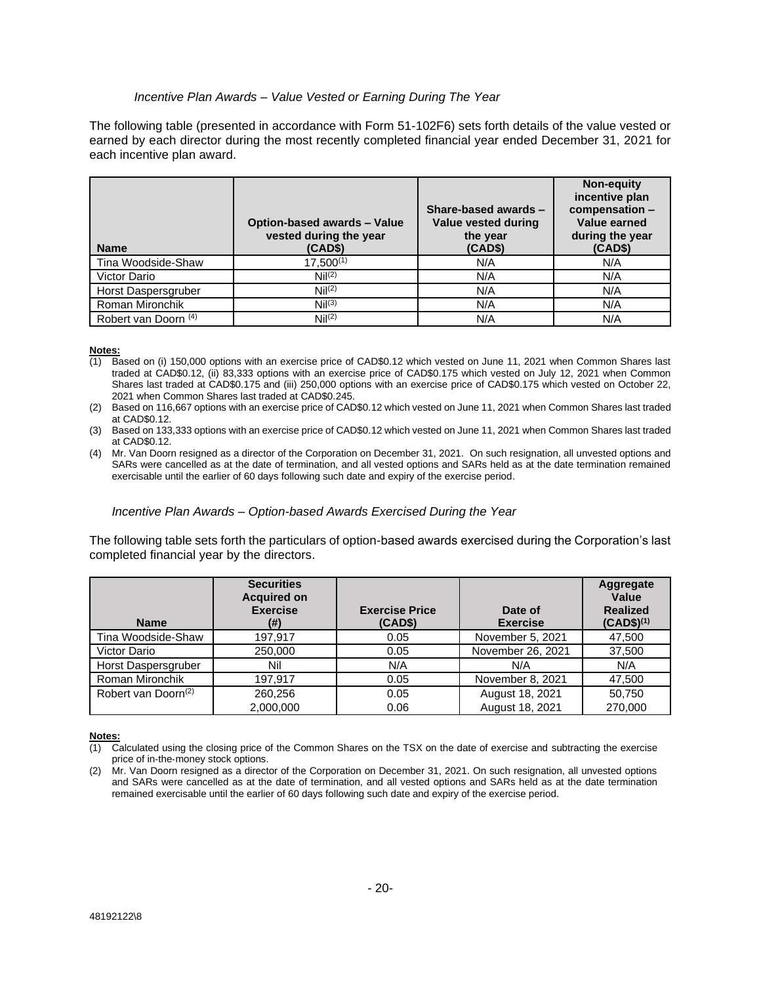## *Incentive Plan Awards – Value Vested or Earning During The Year*

The following table (presented in accordance with Form 51-102F6) sets forth details of the value vested or earned by each director during the most recently completed financial year ended December 31, 2021 for each incentive plan award.

| <b>Name</b>                     | <b>Option-based awards - Value</b><br>vested during the year<br>(CAD\$) | Share-based awards -<br>Value vested during<br>the year<br>(CAD\$) | <b>Non-equity</b><br>incentive plan<br>compensation -<br>Value earned<br>during the year<br>(CAD\$) |
|---------------------------------|-------------------------------------------------------------------------|--------------------------------------------------------------------|-----------------------------------------------------------------------------------------------------|
| Tina Woodside-Shaw              | $17.500^{(1)}$                                                          | N/A                                                                | N/A                                                                                                 |
| Victor Dario                    | Nil <sup>(2)</sup>                                                      | N/A                                                                | N/A                                                                                                 |
| Horst Daspersgruber             | Nil <sup>(2)</sup>                                                      | N/A                                                                | N/A                                                                                                 |
| Roman Mironchik                 | Nil <sup>(3)</sup>                                                      | N/A                                                                | N/A                                                                                                 |
| Robert van Doorn <sup>(4)</sup> | Nil <sup>(2)</sup>                                                      | N/A                                                                | N/A                                                                                                 |

#### **Notes:**

- (1) Based on (i) 150,000 options with an exercise price of CAD\$0.12 which vested on June 11, 2021 when Common Shares last traded at CAD\$0.12, (ii) 83,333 options with an exercise price of CAD\$0.175 which vested on July 12, 2021 when Common Shares last traded at CAD\$0.175 and (iii) 250,000 options with an exercise price of CAD\$0.175 which vested on October 22, 2021 when Common Shares last traded at CAD\$0.245.
- (2) Based on 116,667 options with an exercise price of CAD\$0.12 which vested on June 11, 2021 when Common Shares last traded at CAD\$0.12.
- (3) Based on 133,333 options with an exercise price of CAD\$0.12 which vested on June 11, 2021 when Common Shares last traded at CAD\$0.12.
- (4) Mr. Van Doorn resigned as a director of the Corporation on December 31, 2021. On such resignation, all unvested options and SARs were cancelled as at the date of termination, and all vested options and SARs held as at the date termination remained exercisable until the earlier of 60 days following such date and expiry of the exercise period.

### *Incentive Plan Awards – Option-based Awards Exercised During the Year*

The following table sets forth the particulars of option-based awards exercised during the Corporation's last completed financial year by the directors.

| <b>Name</b>                     | <b>Securities</b><br><b>Acquired on</b><br><b>Exercise</b><br>(#) | <b>Exercise Price</b><br>(CAD\$) | Date of<br><b>Exercise</b> | Aggregate<br>Value<br><b>Realized</b><br>$(CAD$)^{(1)}$ |
|---------------------------------|-------------------------------------------------------------------|----------------------------------|----------------------------|---------------------------------------------------------|
| Tina Woodside-Shaw              | 197,917                                                           | 0.05                             | November 5, 2021           | 47,500                                                  |
| Victor Dario                    | 250,000                                                           | 0.05                             | November 26, 2021          | 37,500                                                  |
| Horst Daspersgruber             | Nil                                                               | N/A                              | N/A                        | N/A                                                     |
| Roman Mironchik                 | 197.917                                                           | 0.05                             | November 8, 2021           | 47,500                                                  |
| Robert van Doorn <sup>(2)</sup> | 260.256                                                           | 0.05                             | August 18, 2021            | 50,750                                                  |
|                                 | 2,000,000                                                         | 0.06                             | August 18, 2021            | 270,000                                                 |

### **Notes:**

 $(1)$  Calculated using the closing price of the Common Shares on the TSX on the date of exercise and subtracting the exercise price of in-the-money stock options.

<sup>(2)</sup> Mr. Van Doorn resigned as a director of the Corporation on December 31, 2021. On such resignation, all unvested options and SARs were cancelled as at the date of termination, and all vested options and SARs held as at the date termination remained exercisable until the earlier of 60 days following such date and expiry of the exercise period.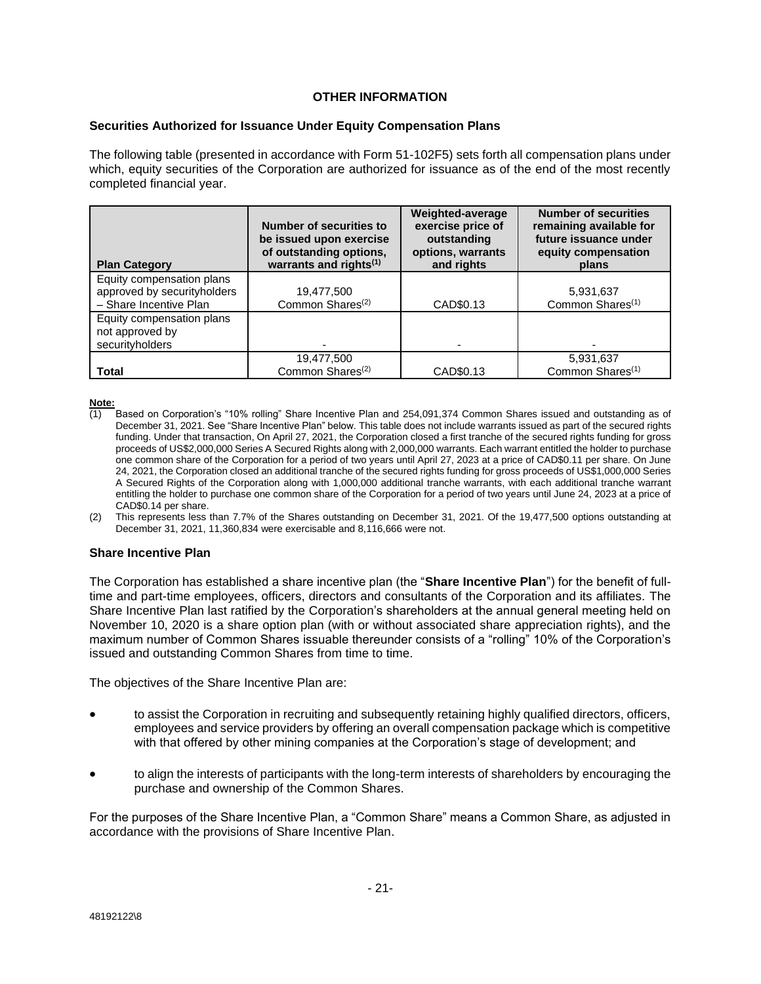# **OTHER INFORMATION**

## **Securities Authorized for Issuance Under Equity Compensation Plans**

The following table (presented in accordance with Form 51-102F5) sets forth all compensation plans under which, equity securities of the Corporation are authorized for issuance as of the end of the most recently completed financial year.

| <b>Plan Category</b>                                                               | Number of securities to<br>be issued upon exercise<br>of outstanding options,<br>warrants and rights $(1)$ | Weighted-average<br>exercise price of<br>outstanding<br>options, warrants<br>and rights | <b>Number of securities</b><br>remaining available for<br>future issuance under<br>equity compensation<br>plans |
|------------------------------------------------------------------------------------|------------------------------------------------------------------------------------------------------------|-----------------------------------------------------------------------------------------|-----------------------------------------------------------------------------------------------------------------|
| Equity compensation plans<br>approved by securityholders<br>- Share Incentive Plan | 19,477,500<br>Common Shares <sup>(2)</sup>                                                                 | CAD\$0.13                                                                               | 5,931,637<br>Common Shares <sup>(1)</sup>                                                                       |
| Equity compensation plans<br>not approved by<br>securityholders                    |                                                                                                            |                                                                                         |                                                                                                                 |
| <b>Total</b>                                                                       | 19,477,500<br>Common Shares <sup>(2)</sup>                                                                 | CAD\$0.13                                                                               | 5,931,637<br>Common Shares <sup>(1)</sup>                                                                       |

### **Note:**

- (1) Based on Corporation's "10% rolling" Share Incentive Plan and 254,091,374 Common Shares issued and outstanding as of December 31, 2021. See "Share Incentive Plan" below. This table does not include warrants issued as part of the secured rights funding. Under that transaction, On April 27, 2021, the Corporation closed a first tranche of the secured rights funding for gross proceeds of US\$2,000,000 Series A Secured Rights along with 2,000,000 warrants. Each warrant entitled the holder to purchase one common share of the Corporation for a period of two years until April 27, 2023 at a price of CAD\$0.11 per share. On June 24, 2021, the Corporation closed an additional tranche of the secured rights funding for gross proceeds of US\$1,000,000 Series A Secured Rights of the Corporation along with 1,000,000 additional tranche warrants, with each additional tranche warrant entitling the holder to purchase one common share of the Corporation for a period of two years until June 24, 2023 at a price of CAD\$0.14 per share.
- (2) This represents less than 7.7% of the Shares outstanding on December 31, 2021. Of the 19,477,500 options outstanding at December 31, 2021, 11,360,834 were exercisable and 8,116,666 were not.

### **Share Incentive Plan**

The Corporation has established a share incentive plan (the "**Share Incentive Plan**") for the benefit of fulltime and part-time employees, officers, directors and consultants of the Corporation and its affiliates. The Share Incentive Plan last ratified by the Corporation's shareholders at the annual general meeting held on November 10, 2020 is a share option plan (with or without associated share appreciation rights), and the maximum number of Common Shares issuable thereunder consists of a "rolling" 10% of the Corporation's issued and outstanding Common Shares from time to time.

The objectives of the Share Incentive Plan are:

- to assist the Corporation in recruiting and subsequently retaining highly qualified directors, officers, employees and service providers by offering an overall compensation package which is competitive with that offered by other mining companies at the Corporation's stage of development; and
- to align the interests of participants with the long-term interests of shareholders by encouraging the purchase and ownership of the Common Shares.

For the purposes of the Share Incentive Plan, a "Common Share" means a Common Share, as adjusted in accordance with the provisions of Share Incentive Plan.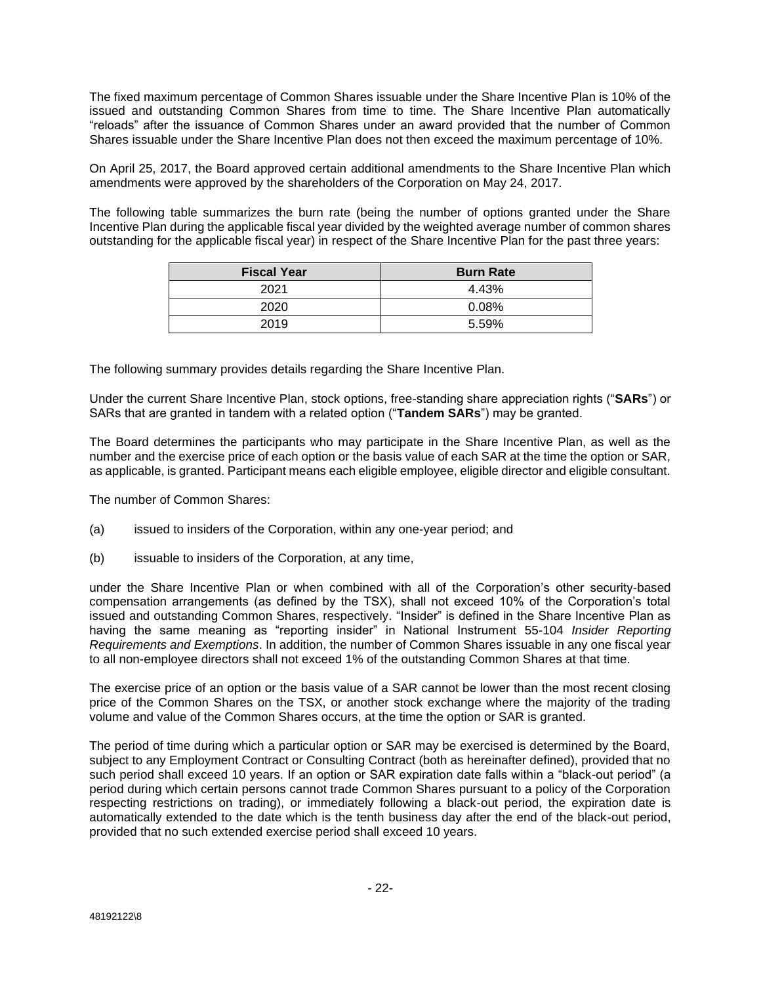The fixed maximum percentage of Common Shares issuable under the Share Incentive Plan is 10% of the issued and outstanding Common Shares from time to time. The Share Incentive Plan automatically "reloads" after the issuance of Common Shares under an award provided that the number of Common Shares issuable under the Share Incentive Plan does not then exceed the maximum percentage of 10%.

On April 25, 2017, the Board approved certain additional amendments to the Share Incentive Plan which amendments were approved by the shareholders of the Corporation on May 24, 2017.

The following table summarizes the burn rate (being the number of options granted under the Share Incentive Plan during the applicable fiscal year divided by the weighted average number of common shares outstanding for the applicable fiscal year) in respect of the Share Incentive Plan for the past three years:

| <b>Fiscal Year</b> | <b>Burn Rate</b> |  |  |
|--------------------|------------------|--|--|
| 2021               | 4.43%            |  |  |
| 2020               | $0.08\%$         |  |  |
| 2019               | 5.59%            |  |  |

The following summary provides details regarding the Share Incentive Plan.

Under the current Share Incentive Plan, stock options, free-standing share appreciation rights ("**SARs**") or SARs that are granted in tandem with a related option ("**Tandem SARs**") may be granted.

The Board determines the participants who may participate in the Share Incentive Plan, as well as the number and the exercise price of each option or the basis value of each SAR at the time the option or SAR, as applicable, is granted. Participant means each eligible employee, eligible director and eligible consultant.

The number of Common Shares:

- (a) issued to insiders of the Corporation, within any one-year period; and
- (b) issuable to insiders of the Corporation, at any time,

under the Share Incentive Plan or when combined with all of the Corporation's other security-based compensation arrangements (as defined by the TSX), shall not exceed 10% of the Corporation's total issued and outstanding Common Shares, respectively. "Insider" is defined in the Share Incentive Plan as having the same meaning as "reporting insider" in National Instrument 55-104 *Insider Reporting Requirements and Exemptions*. In addition, the number of Common Shares issuable in any one fiscal year to all non-employee directors shall not exceed 1% of the outstanding Common Shares at that time.

The exercise price of an option or the basis value of a SAR cannot be lower than the most recent closing price of the Common Shares on the TSX, or another stock exchange where the majority of the trading volume and value of the Common Shares occurs, at the time the option or SAR is granted.

The period of time during which a particular option or SAR may be exercised is determined by the Board, subject to any Employment Contract or Consulting Contract (both as hereinafter defined), provided that no such period shall exceed 10 years. If an option or SAR expiration date falls within a "black-out period" (a period during which certain persons cannot trade Common Shares pursuant to a policy of the Corporation respecting restrictions on trading), or immediately following a black-out period, the expiration date is automatically extended to the date which is the tenth business day after the end of the black-out period, provided that no such extended exercise period shall exceed 10 years.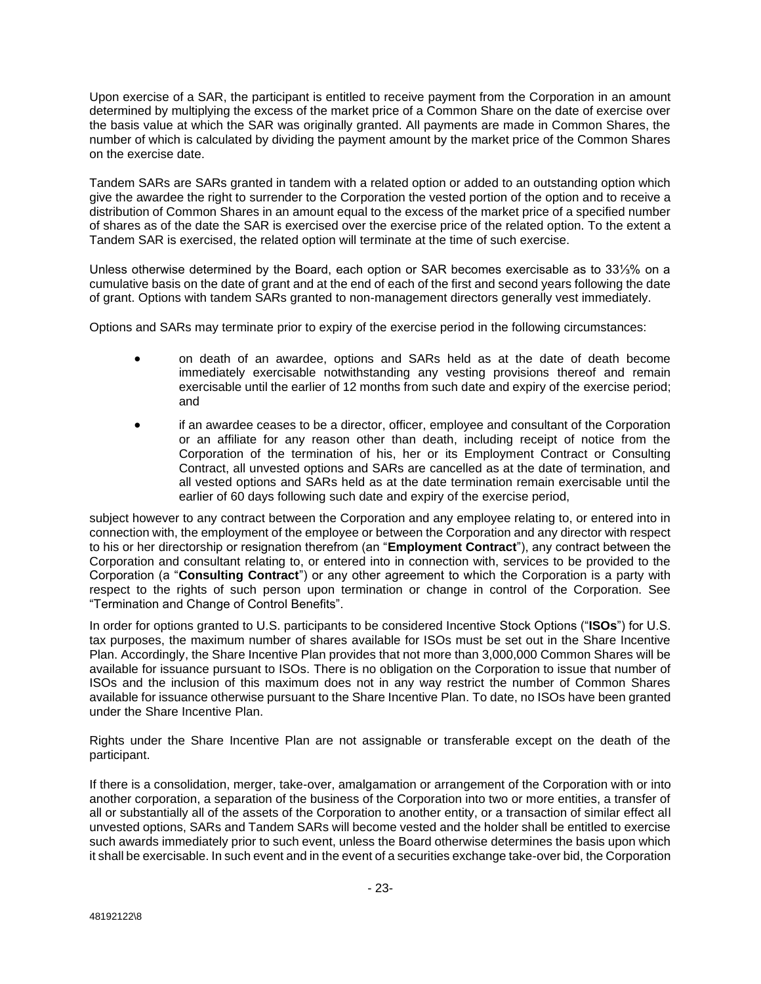Upon exercise of a SAR, the participant is entitled to receive payment from the Corporation in an amount determined by multiplying the excess of the market price of a Common Share on the date of exercise over the basis value at which the SAR was originally granted. All payments are made in Common Shares, the number of which is calculated by dividing the payment amount by the market price of the Common Shares on the exercise date.

Tandem SARs are SARs granted in tandem with a related option or added to an outstanding option which give the awardee the right to surrender to the Corporation the vested portion of the option and to receive a distribution of Common Shares in an amount equal to the excess of the market price of a specified number of shares as of the date the SAR is exercised over the exercise price of the related option. To the extent a Tandem SAR is exercised, the related option will terminate at the time of such exercise.

Unless otherwise determined by the Board, each option or SAR becomes exercisable as to 33⅓% on a cumulative basis on the date of grant and at the end of each of the first and second years following the date of grant. Options with tandem SARs granted to non-management directors generally vest immediately.

Options and SARs may terminate prior to expiry of the exercise period in the following circumstances:

- on death of an awardee, options and SARs held as at the date of death become immediately exercisable notwithstanding any vesting provisions thereof and remain exercisable until the earlier of 12 months from such date and expiry of the exercise period; and
- if an awardee ceases to be a director, officer, employee and consultant of the Corporation or an affiliate for any reason other than death, including receipt of notice from the Corporation of the termination of his, her or its Employment Contract or Consulting Contract, all unvested options and SARs are cancelled as at the date of termination, and all vested options and SARs held as at the date termination remain exercisable until the earlier of 60 days following such date and expiry of the exercise period,

subject however to any contract between the Corporation and any employee relating to, or entered into in connection with, the employment of the employee or between the Corporation and any director with respect to his or her directorship or resignation therefrom (an "**Employment Contract**"), any contract between the Corporation and consultant relating to, or entered into in connection with, services to be provided to the Corporation (a "**Consulting Contract**") or any other agreement to which the Corporation is a party with respect to the rights of such person upon termination or change in control of the Corporation. See "Termination and Change of Control Benefits".

In order for options granted to U.S. participants to be considered Incentive Stock Options ("**ISOs**") for U.S. tax purposes, the maximum number of shares available for ISOs must be set out in the Share Incentive Plan. Accordingly, the Share Incentive Plan provides that not more than 3,000,000 Common Shares will be available for issuance pursuant to ISOs. There is no obligation on the Corporation to issue that number of ISOs and the inclusion of this maximum does not in any way restrict the number of Common Shares available for issuance otherwise pursuant to the Share Incentive Plan. To date, no ISOs have been granted under the Share Incentive Plan.

Rights under the Share Incentive Plan are not assignable or transferable except on the death of the participant.

If there is a consolidation, merger, take-over, amalgamation or arrangement of the Corporation with or into another corporation, a separation of the business of the Corporation into two or more entities, a transfer of all or substantially all of the assets of the Corporation to another entity, or a transaction of similar effect all unvested options, SARs and Tandem SARs will become vested and the holder shall be entitled to exercise such awards immediately prior to such event, unless the Board otherwise determines the basis upon which it shall be exercisable. In such event and in the event of a securities exchange take-over bid, the Corporation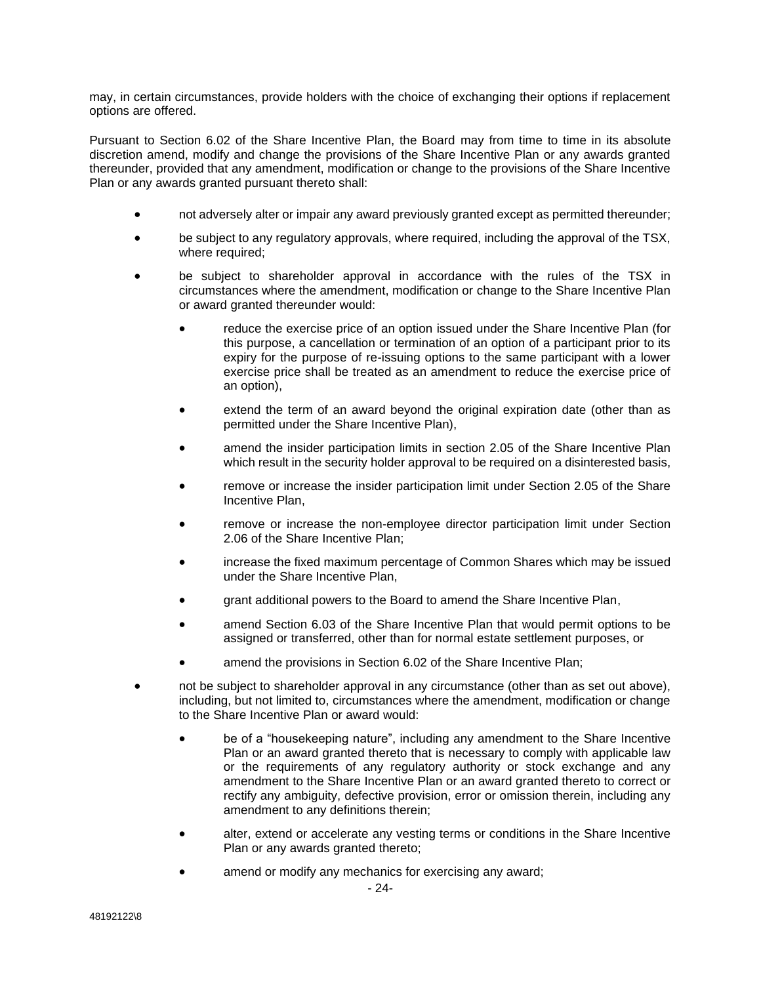may, in certain circumstances, provide holders with the choice of exchanging their options if replacement options are offered.

Pursuant to Section 6.02 of the Share Incentive Plan, the Board may from time to time in its absolute discretion amend, modify and change the provisions of the Share Incentive Plan or any awards granted thereunder, provided that any amendment, modification or change to the provisions of the Share Incentive Plan or any awards granted pursuant thereto shall:

- not adversely alter or impair any award previously granted except as permitted thereunder;
- be subject to any regulatory approvals, where required, including the approval of the TSX, where required;
- be subject to shareholder approval in accordance with the rules of the TSX in circumstances where the amendment, modification or change to the Share Incentive Plan or award granted thereunder would:
	- reduce the exercise price of an option issued under the Share Incentive Plan (for this purpose, a cancellation or termination of an option of a participant prior to its expiry for the purpose of re-issuing options to the same participant with a lower exercise price shall be treated as an amendment to reduce the exercise price of an option),
	- extend the term of an award beyond the original expiration date (other than as permitted under the Share Incentive Plan),
	- amend the insider participation limits in section 2.05 of the Share Incentive Plan which result in the security holder approval to be required on a disinterested basis,
	- remove or increase the insider participation limit under Section 2.05 of the Share Incentive Plan,
	- remove or increase the non-employee director participation limit under Section 2.06 of the Share Incentive Plan;
	- increase the fixed maximum percentage of Common Shares which may be issued under the Share Incentive Plan,
	- grant additional powers to the Board to amend the Share Incentive Plan,
	- amend Section 6.03 of the Share Incentive Plan that would permit options to be assigned or transferred, other than for normal estate settlement purposes, or
	- amend the provisions in Section 6.02 of the Share Incentive Plan;
- not be subject to shareholder approval in any circumstance (other than as set out above), including, but not limited to, circumstances where the amendment, modification or change to the Share Incentive Plan or award would:
	- be of a "housekeeping nature", including any amendment to the Share Incentive Plan or an award granted thereto that is necessary to comply with applicable law or the requirements of any regulatory authority or stock exchange and any amendment to the Share Incentive Plan or an award granted thereto to correct or rectify any ambiguity, defective provision, error or omission therein, including any amendment to any definitions therein;
	- alter, extend or accelerate any vesting terms or conditions in the Share Incentive Plan or any awards granted thereto;
	- amend or modify any mechanics for exercising any award;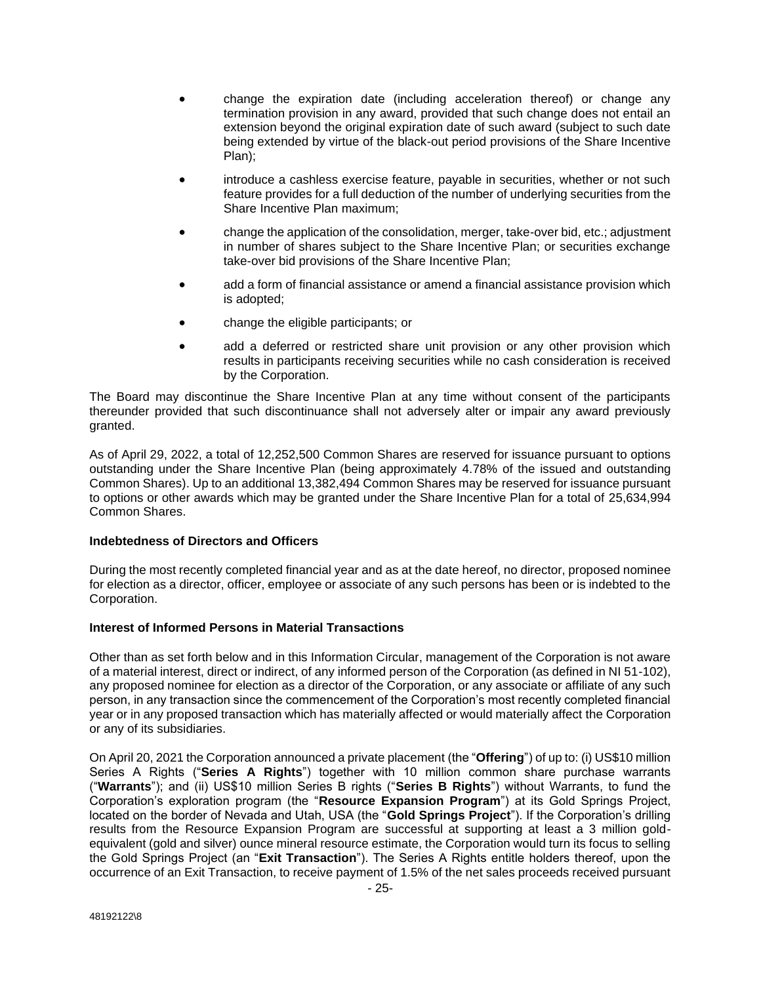- change the expiration date (including acceleration thereof) or change any termination provision in any award, provided that such change does not entail an extension beyond the original expiration date of such award (subject to such date being extended by virtue of the black-out period provisions of the Share Incentive Plan);
- introduce a cashless exercise feature, payable in securities, whether or not such feature provides for a full deduction of the number of underlying securities from the Share Incentive Plan maximum;
- change the application of the consolidation, merger, take-over bid, etc.; adjustment in number of shares subject to the Share Incentive Plan; or securities exchange take-over bid provisions of the Share Incentive Plan;
- add a form of financial assistance or amend a financial assistance provision which is adopted;
- change the eligible participants; or
- add a deferred or restricted share unit provision or any other provision which results in participants receiving securities while no cash consideration is received by the Corporation.

The Board may discontinue the Share Incentive Plan at any time without consent of the participants thereunder provided that such discontinuance shall not adversely alter or impair any award previously granted.

As of April 29, 2022, a total of 12,252,500 Common Shares are reserved for issuance pursuant to options outstanding under the Share Incentive Plan (being approximately 4.78% of the issued and outstanding Common Shares). Up to an additional 13,382,494 Common Shares may be reserved for issuance pursuant to options or other awards which may be granted under the Share Incentive Plan for a total of 25,634,994 Common Shares.

### **Indebtedness of Directors and Officers**

During the most recently completed financial year and as at the date hereof, no director, proposed nominee for election as a director, officer, employee or associate of any such persons has been or is indebted to the Corporation.

## **Interest of Informed Persons in Material Transactions**

Other than as set forth below and in this Information Circular, management of the Corporation is not aware of a material interest, direct or indirect, of any informed person of the Corporation (as defined in NI 51-102), any proposed nominee for election as a director of the Corporation, or any associate or affiliate of any such person, in any transaction since the commencement of the Corporation's most recently completed financial year or in any proposed transaction which has materially affected or would materially affect the Corporation or any of its subsidiaries.

On April 20, 2021 the Corporation announced a private placement (the "**Offering**") of up to: (i) US\$10 million Series A Rights ("**Series A Rights**") together with 10 million common share purchase warrants ("**Warrants**"); and (ii) US\$10 million Series B rights ("**Series B Rights**") without Warrants, to fund the Corporation's exploration program (the "**Resource Expansion Program**") at its Gold Springs Project, located on the border of Nevada and Utah, USA (the "**Gold Springs Project**"). If the Corporation's drilling results from the Resource Expansion Program are successful at supporting at least a 3 million goldequivalent (gold and silver) ounce mineral resource estimate, the Corporation would turn its focus to selling the Gold Springs Project (an "**Exit Transaction**"). The Series A Rights entitle holders thereof, upon the occurrence of an Exit Transaction, to receive payment of 1.5% of the net sales proceeds received pursuant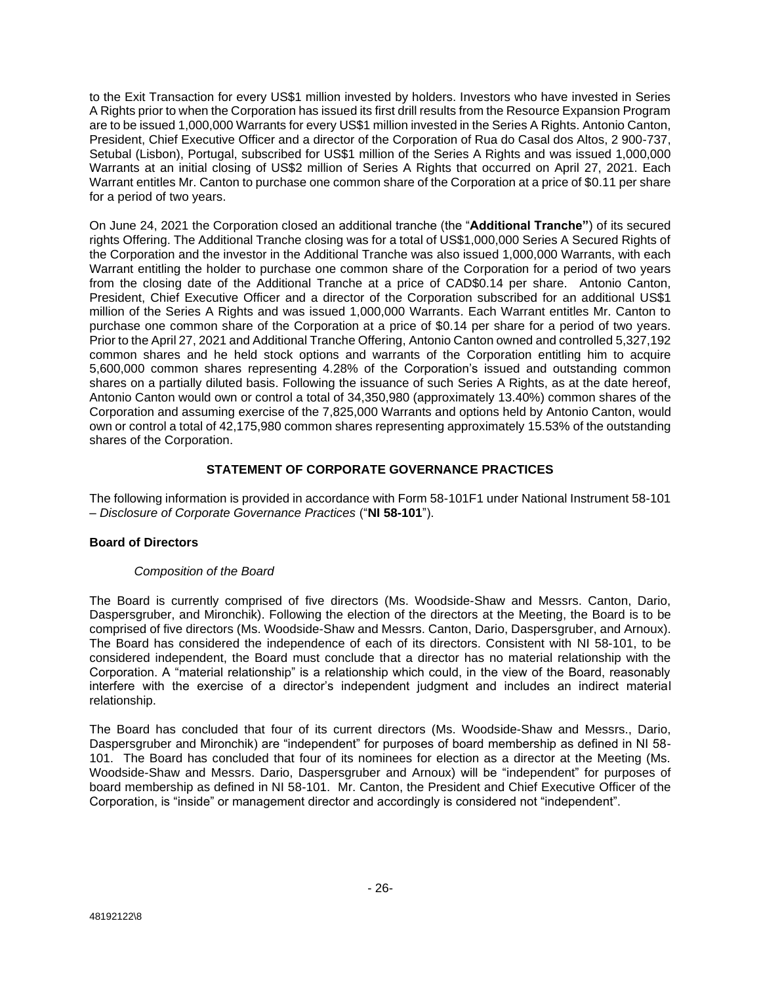to the Exit Transaction for every US\$1 million invested by holders. Investors who have invested in Series A Rights prior to when the Corporation has issued its first drill results from the Resource Expansion Program are to be issued 1,000,000 Warrants for every US\$1 million invested in the Series A Rights. Antonio Canton, President, Chief Executive Officer and a director of the Corporation of Rua do Casal dos Altos, 2 900-737, Setubal (Lisbon), Portugal, subscribed for US\$1 million of the Series A Rights and was issued 1,000,000 Warrants at an initial closing of US\$2 million of Series A Rights that occurred on April 27, 2021. Each Warrant entitles Mr. Canton to purchase one common share of the Corporation at a price of \$0.11 per share for a period of two years.

On June 24, 2021 the Corporation closed an additional tranche (the "**Additional Tranche"**) of its secured rights Offering. The Additional Tranche closing was for a total of US\$1,000,000 Series A Secured Rights of the Corporation and the investor in the Additional Tranche was also issued 1,000,000 Warrants, with each Warrant entitling the holder to purchase one common share of the Corporation for a period of two years from the closing date of the Additional Tranche at a price of CAD\$0.14 per share. Antonio Canton, President, Chief Executive Officer and a director of the Corporation subscribed for an additional US\$1 million of the Series A Rights and was issued 1,000,000 Warrants. Each Warrant entitles Mr. Canton to purchase one common share of the Corporation at a price of \$0.14 per share for a period of two years. Prior to the April 27, 2021 and Additional Tranche Offering, Antonio Canton owned and controlled 5,327,192 common shares and he held stock options and warrants of the Corporation entitling him to acquire 5,600,000 common shares representing 4.28% of the Corporation's issued and outstanding common shares on a partially diluted basis. Following the issuance of such Series A Rights, as at the date hereof, Antonio Canton would own or control a total of 34,350,980 (approximately 13.40%) common shares of the Corporation and assuming exercise of the 7,825,000 Warrants and options held by Antonio Canton, would own or control a total of 42,175,980 common shares representing approximately 15.53% of the outstanding shares of the Corporation.

# **STATEMENT OF CORPORATE GOVERNANCE PRACTICES**

The following information is provided in accordance with Form 58-101F1 under National Instrument 58-101 – *Disclosure of Corporate Governance Practices* ("**NI 58-101**").

# **Board of Directors**

# *Composition of the Board*

The Board is currently comprised of five directors (Ms. Woodside-Shaw and Messrs. Canton, Dario, Daspersgruber, and Mironchik). Following the election of the directors at the Meeting, the Board is to be comprised of five directors (Ms. Woodside-Shaw and Messrs. Canton, Dario, Daspersgruber, and Arnoux). The Board has considered the independence of each of its directors. Consistent with NI 58-101, to be considered independent, the Board must conclude that a director has no material relationship with the Corporation. A "material relationship" is a relationship which could, in the view of the Board, reasonably interfere with the exercise of a director's independent judgment and includes an indirect material relationship.

The Board has concluded that four of its current directors (Ms. Woodside-Shaw and Messrs., Dario, Daspersgruber and Mironchik) are "independent" for purposes of board membership as defined in NI 58- 101. The Board has concluded that four of its nominees for election as a director at the Meeting (Ms. Woodside-Shaw and Messrs. Dario, Daspersgruber and Arnoux) will be "independent" for purposes of board membership as defined in NI 58-101. Mr. Canton, the President and Chief Executive Officer of the Corporation, is "inside" or management director and accordingly is considered not "independent".

48192122\8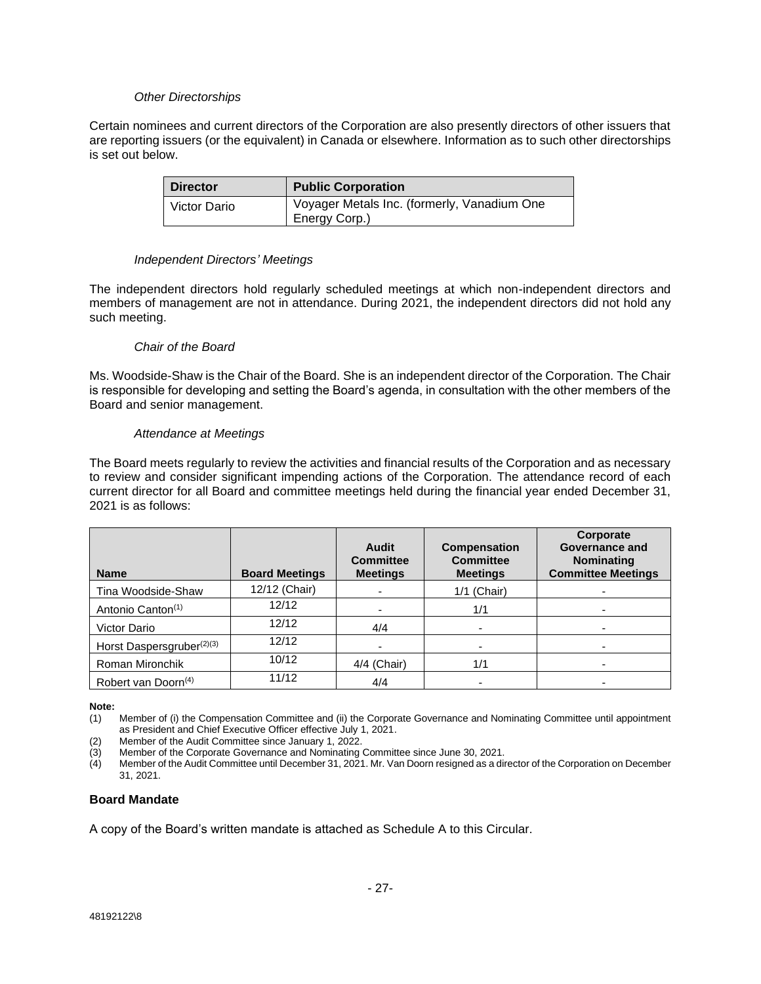## *Other Directorships*

Certain nominees and current directors of the Corporation are also presently directors of other issuers that are reporting issuers (or the equivalent) in Canada or elsewhere. Information as to such other directorships is set out below.

| <b>Director</b> | <b>Public Corporation</b>                                    |
|-----------------|--------------------------------------------------------------|
| Victor Dario    | Voyager Metals Inc. (formerly, Vanadium One<br>Energy Corp.) |

# *Independent Directors' Meetings*

The independent directors hold regularly scheduled meetings at which non-independent directors and members of management are not in attendance. During 2021, the independent directors did not hold any such meeting.

# *Chair of the Board*

Ms. Woodside-Shaw is the Chair of the Board. She is an independent director of the Corporation. The Chair is responsible for developing and setting the Board's agenda, in consultation with the other members of the Board and senior management.

# *Attendance at Meetings*

The Board meets regularly to review the activities and financial results of the Corporation and as necessary to review and consider significant impending actions of the Corporation. The attendance record of each current director for all Board and committee meetings held during the financial year ended December 31, 2021 is as follows:

| <b>Name</b>                           | <b>Board Meetings</b> | Audit<br><b>Committee</b><br><b>Meetings</b> | Compensation<br><b>Committee</b><br><b>Meetings</b> | Corporate<br>Governance and<br><b>Nominating</b><br><b>Committee Meetings</b> |
|---------------------------------------|-----------------------|----------------------------------------------|-----------------------------------------------------|-------------------------------------------------------------------------------|
| Tina Woodside-Shaw                    | 12/12 (Chair)         |                                              | 1/1 (Chair)                                         |                                                                               |
| Antonio Canton <sup>(1)</sup>         | 12/12                 |                                              | 1/1                                                 |                                                                               |
| Victor Dario                          | 12/12                 | 4/4                                          |                                                     |                                                                               |
| Horst Daspersgruber <sup>(2)(3)</sup> | 12/12                 | $\overline{\phantom{0}}$                     | $\overline{\phantom{0}}$                            |                                                                               |
| Roman Mironchik                       | 10/12                 | 4/4 (Chair)                                  | 1/1                                                 |                                                                               |
| Robert van Doorn <sup>(4)</sup>       | 11/12                 | 4/4                                          | ۰                                                   |                                                                               |

### **Note:**

(1) Member of (i) the Compensation Committee and (ii) the Corporate Governance and Nominating Committee until appointment as President and Chief Executive Officer effective July 1, 2021.

(2) Member of the Audit Committee since January 1, 2022.

Member of the Corporate Governance and Nominating Committee since June 30, 2021.

(4) Member of the Audit Committee until December 31, 2021. Mr. Van Doorn resigned as a director of the Corporation on December 31, 2021.

### **Board Mandate**

A copy of the Board's written mandate is attached as Schedule A to this Circular.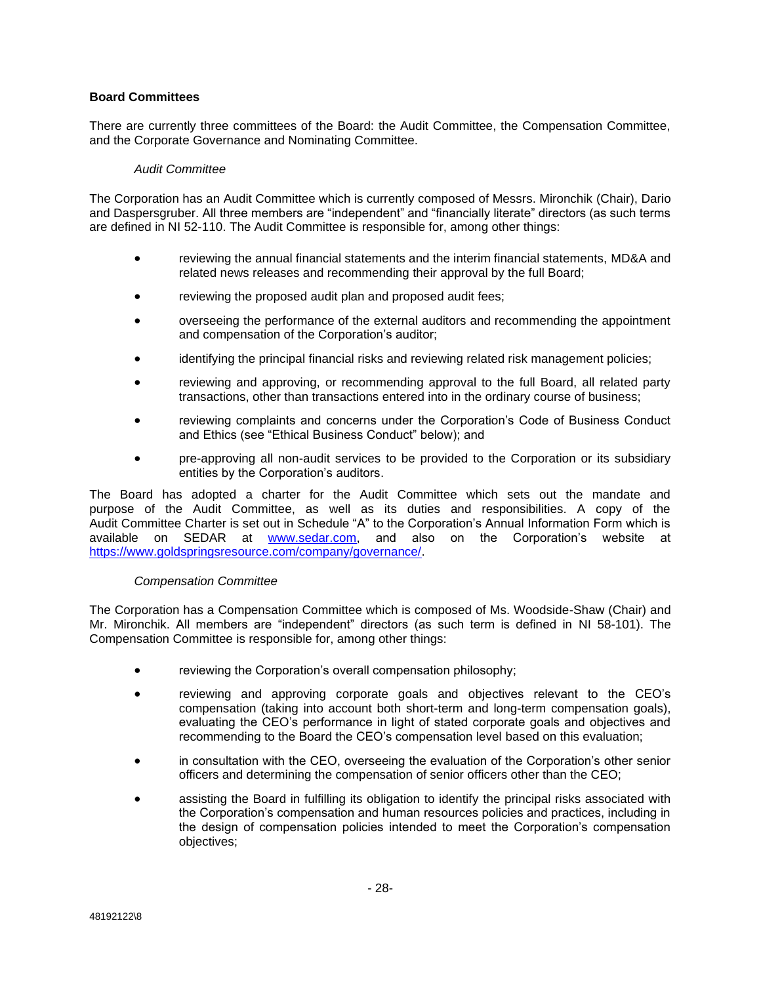## **Board Committees**

There are currently three committees of the Board: the Audit Committee, the Compensation Committee, and the Corporate Governance and Nominating Committee.

### *Audit Committee*

The Corporation has an Audit Committee which is currently composed of Messrs. Mironchik (Chair), Dario and Daspersgruber. All three members are "independent" and "financially literate" directors (as such terms are defined in NI 52-110. The Audit Committee is responsible for, among other things:

- reviewing the annual financial statements and the interim financial statements, MD&A and related news releases and recommending their approval by the full Board;
- reviewing the proposed audit plan and proposed audit fees;
- overseeing the performance of the external auditors and recommending the appointment and compensation of the Corporation's auditor;
- identifying the principal financial risks and reviewing related risk management policies;
- reviewing and approving, or recommending approval to the full Board, all related party transactions, other than transactions entered into in the ordinary course of business;
- reviewing complaints and concerns under the Corporation's Code of Business Conduct and Ethics (see "Ethical Business Conduct" below); and
- pre-approving all non-audit services to be provided to the Corporation or its subsidiary entities by the Corporation's auditors.

The Board has adopted a charter for the Audit Committee which sets out the mandate and purpose of the Audit Committee, as well as its duties and responsibilities. A copy of the Audit Committee Charter is set out in Schedule "A" to the Corporation's Annual Information Form which is available on SEDAR at [www.sedar.com,](http://www.sedar.com/) and also on the Corporation's website at [https://www.goldspringsresource.com/company/governance/.](https://www.goldspringsresource.com/company/governance/)

### *Compensation Committee*

The Corporation has a Compensation Committee which is composed of Ms. Woodside-Shaw (Chair) and Mr. Mironchik. All members are "independent" directors (as such term is defined in NI 58-101). The Compensation Committee is responsible for, among other things:

- reviewing the Corporation's overall compensation philosophy;
- reviewing and approving corporate goals and objectives relevant to the CEO's compensation (taking into account both short-term and long-term compensation goals), evaluating the CEO's performance in light of stated corporate goals and objectives and recommending to the Board the CEO's compensation level based on this evaluation;
- in consultation with the CEO, overseeing the evaluation of the Corporation's other senior officers and determining the compensation of senior officers other than the CEO;
- assisting the Board in fulfilling its obligation to identify the principal risks associated with the Corporation's compensation and human resources policies and practices, including in the design of compensation policies intended to meet the Corporation's compensation objectives;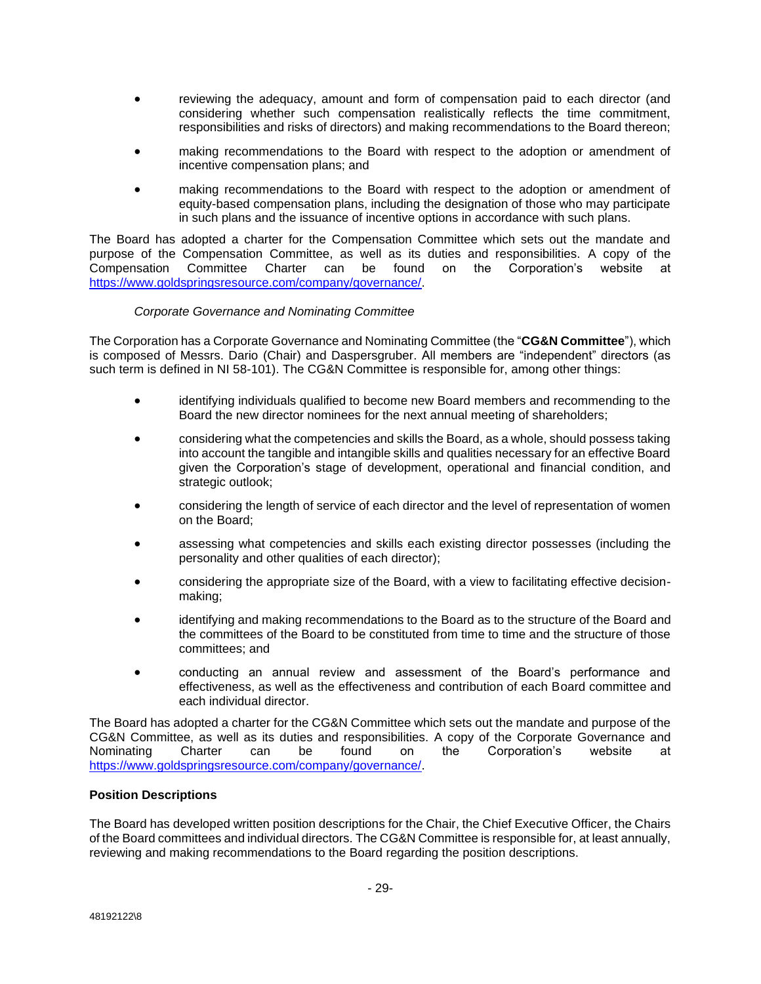- reviewing the adequacy, amount and form of compensation paid to each director (and considering whether such compensation realistically reflects the time commitment, responsibilities and risks of directors) and making recommendations to the Board thereon;
- making recommendations to the Board with respect to the adoption or amendment of incentive compensation plans; and
- making recommendations to the Board with respect to the adoption or amendment of equity-based compensation plans, including the designation of those who may participate in such plans and the issuance of incentive options in accordance with such plans.

The Board has adopted a charter for the Compensation Committee which sets out the mandate and purpose of the Compensation Committee, as well as its duties and responsibilities. A copy of the Compensation Committee Charter can be found on the Corporation's website at [https://www.goldspringsresource.com/company/governance/.](https://www.goldspringsresource.com/company/governance/)

# *Corporate Governance and Nominating Committee*

The Corporation has a Corporate Governance and Nominating Committee (the "**CG&N Committee**"), which is composed of Messrs. Dario (Chair) and Daspersgruber. All members are "independent" directors (as such term is defined in NI 58-101). The CG&N Committee is responsible for, among other things:

- identifying individuals qualified to become new Board members and recommending to the Board the new director nominees for the next annual meeting of shareholders;
- considering what the competencies and skills the Board, as a whole, should possess taking into account the tangible and intangible skills and qualities necessary for an effective Board given the Corporation's stage of development, operational and financial condition, and strategic outlook;
- considering the length of service of each director and the level of representation of women on the Board;
- assessing what competencies and skills each existing director possesses (including the personality and other qualities of each director);
- considering the appropriate size of the Board, with a view to facilitating effective decisionmaking;
- identifying and making recommendations to the Board as to the structure of the Board and the committees of the Board to be constituted from time to time and the structure of those committees; and
- conducting an annual review and assessment of the Board's performance and effectiveness, as well as the effectiveness and contribution of each Board committee and each individual director.

The Board has adopted a charter for the CG&N Committee which sets out the mandate and purpose of the CG&N Committee, as well as its duties and responsibilities. A copy of the Corporate Governance and Nominating Charter can be found on the Corporation's website at [https://www.goldspringsresource.com/company/governance/.](https://www.goldspringsresource.com/company/governance/)

### **Position Descriptions**

The Board has developed written position descriptions for the Chair, the Chief Executive Officer, the Chairs of the Board committees and individual directors. The CG&N Committee is responsible for, at least annually, reviewing and making recommendations to the Board regarding the position descriptions.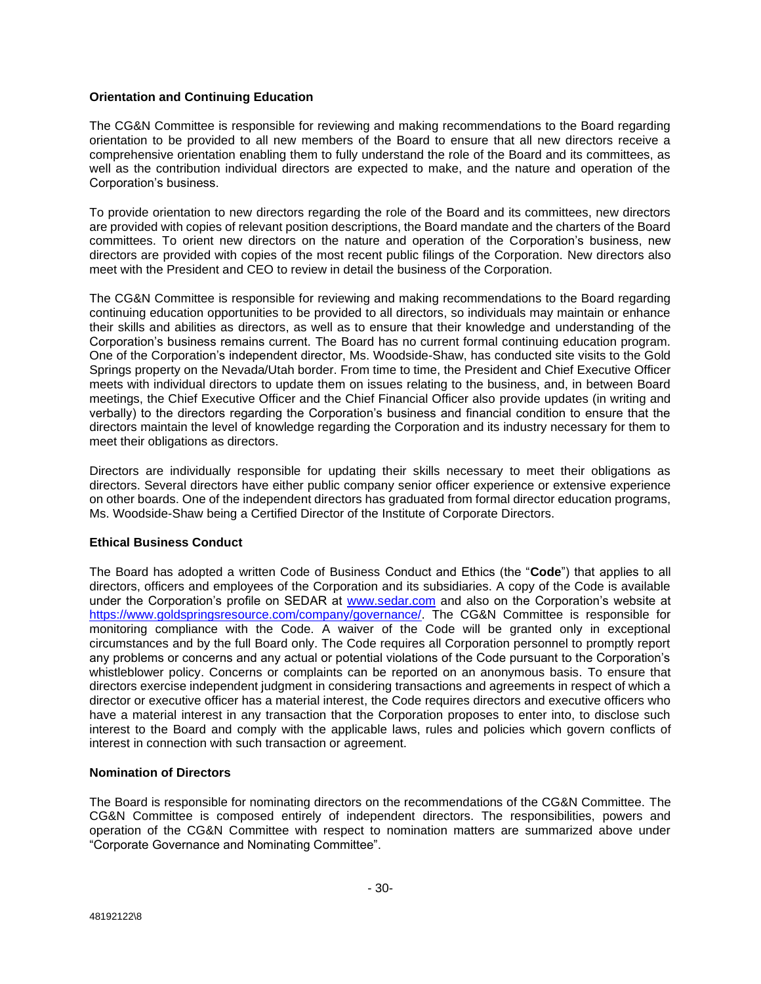# **Orientation and Continuing Education**

The CG&N Committee is responsible for reviewing and making recommendations to the Board regarding orientation to be provided to all new members of the Board to ensure that all new directors receive a comprehensive orientation enabling them to fully understand the role of the Board and its committees, as well as the contribution individual directors are expected to make, and the nature and operation of the Corporation's business.

To provide orientation to new directors regarding the role of the Board and its committees, new directors are provided with copies of relevant position descriptions, the Board mandate and the charters of the Board committees. To orient new directors on the nature and operation of the Corporation's business, new directors are provided with copies of the most recent public filings of the Corporation. New directors also meet with the President and CEO to review in detail the business of the Corporation.

The CG&N Committee is responsible for reviewing and making recommendations to the Board regarding continuing education opportunities to be provided to all directors, so individuals may maintain or enhance their skills and abilities as directors, as well as to ensure that their knowledge and understanding of the Corporation's business remains current. The Board has no current formal continuing education program. One of the Corporation's independent director, Ms. Woodside-Shaw, has conducted site visits to the Gold Springs property on the Nevada/Utah border. From time to time, the President and Chief Executive Officer meets with individual directors to update them on issues relating to the business, and, in between Board meetings, the Chief Executive Officer and the Chief Financial Officer also provide updates (in writing and verbally) to the directors regarding the Corporation's business and financial condition to ensure that the directors maintain the level of knowledge regarding the Corporation and its industry necessary for them to meet their obligations as directors.

Directors are individually responsible for updating their skills necessary to meet their obligations as directors. Several directors have either public company senior officer experience or extensive experience on other boards. One of the independent directors has graduated from formal director education programs, Ms. Woodside-Shaw being a Certified Director of the Institute of Corporate Directors.

# **Ethical Business Conduct**

The Board has adopted a written Code of Business Conduct and Ethics (the "**Code**") that applies to all directors, officers and employees of the Corporation and its subsidiaries. A copy of the Code is available under the Corporation's profile on SEDAR at [www.sedar.com](http://www.sedar.com/) and also on the Corporation's website at [https://www.goldspringsresource.com/company/governance/.](https://www.goldspringsresource.com/company/governance/) The CG&N Committee is responsible for monitoring compliance with the Code. A waiver of the Code will be granted only in exceptional circumstances and by the full Board only. The Code requires all Corporation personnel to promptly report any problems or concerns and any actual or potential violations of the Code pursuant to the Corporation's whistleblower policy. Concerns or complaints can be reported on an anonymous basis. To ensure that directors exercise independent judgment in considering transactions and agreements in respect of which a director or executive officer has a material interest, the Code requires directors and executive officers who have a material interest in any transaction that the Corporation proposes to enter into, to disclose such interest to the Board and comply with the applicable laws, rules and policies which govern conflicts of interest in connection with such transaction or agreement.

# **Nomination of Directors**

The Board is responsible for nominating directors on the recommendations of the CG&N Committee. The CG&N Committee is composed entirely of independent directors. The responsibilities, powers and operation of the CG&N Committee with respect to nomination matters are summarized above under "Corporate Governance and Nominating Committee".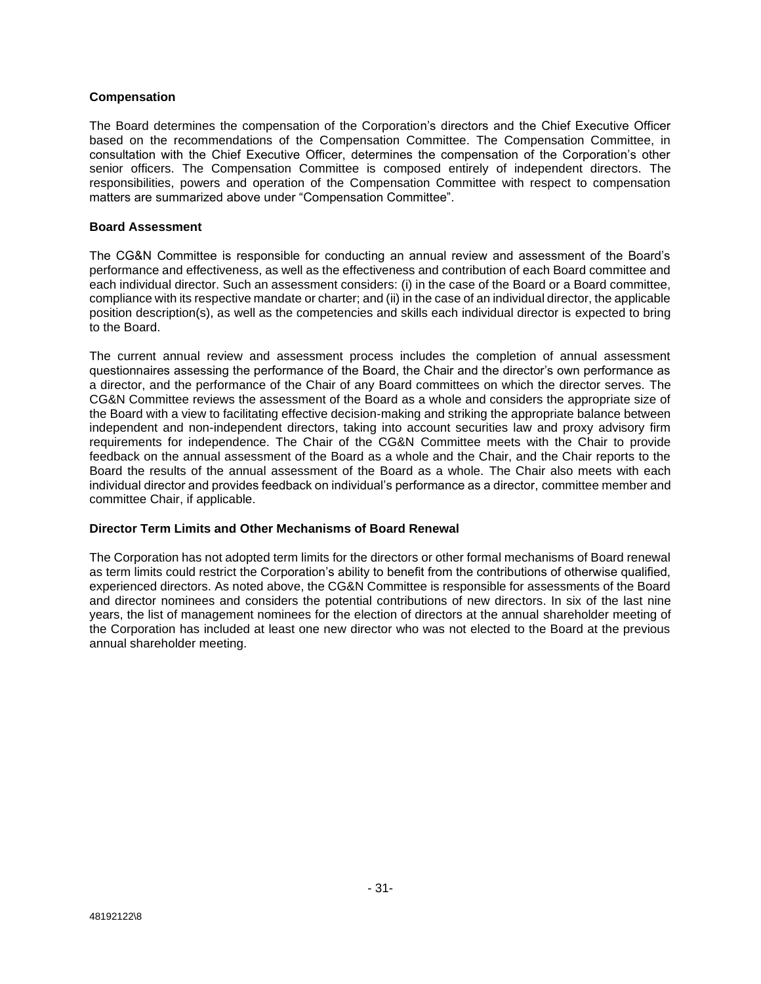## **Compensation**

The Board determines the compensation of the Corporation's directors and the Chief Executive Officer based on the recommendations of the Compensation Committee. The Compensation Committee, in consultation with the Chief Executive Officer, determines the compensation of the Corporation's other senior officers. The Compensation Committee is composed entirely of independent directors. The responsibilities, powers and operation of the Compensation Committee with respect to compensation matters are summarized above under "Compensation Committee".

### **Board Assessment**

The CG&N Committee is responsible for conducting an annual review and assessment of the Board's performance and effectiveness, as well as the effectiveness and contribution of each Board committee and each individual director. Such an assessment considers: (i) in the case of the Board or a Board committee, compliance with its respective mandate or charter; and (ii) in the case of an individual director, the applicable position description(s), as well as the competencies and skills each individual director is expected to bring to the Board.

The current annual review and assessment process includes the completion of annual assessment questionnaires assessing the performance of the Board, the Chair and the director's own performance as a director, and the performance of the Chair of any Board committees on which the director serves. The CG&N Committee reviews the assessment of the Board as a whole and considers the appropriate size of the Board with a view to facilitating effective decision-making and striking the appropriate balance between independent and non-independent directors, taking into account securities law and proxy advisory firm requirements for independence. The Chair of the CG&N Committee meets with the Chair to provide feedback on the annual assessment of the Board as a whole and the Chair, and the Chair reports to the Board the results of the annual assessment of the Board as a whole. The Chair also meets with each individual director and provides feedback on individual's performance as a director, committee member and committee Chair, if applicable.

### **Director Term Limits and Other Mechanisms of Board Renewal**

The Corporation has not adopted term limits for the directors or other formal mechanisms of Board renewal as term limits could restrict the Corporation's ability to benefit from the contributions of otherwise qualified, experienced directors. As noted above, the CG&N Committee is responsible for assessments of the Board and director nominees and considers the potential contributions of new directors. In six of the last nine years, the list of management nominees for the election of directors at the annual shareholder meeting of the Corporation has included at least one new director who was not elected to the Board at the previous annual shareholder meeting.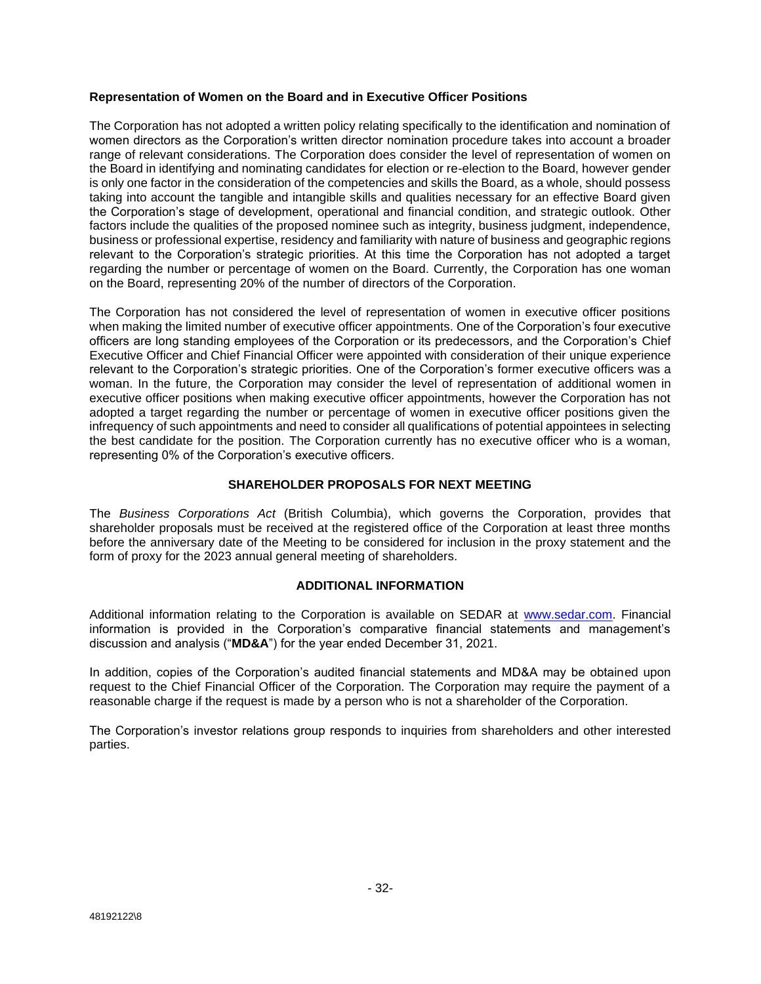# **Representation of Women on the Board and in Executive Officer Positions**

The Corporation has not adopted a written policy relating specifically to the identification and nomination of women directors as the Corporation's written director nomination procedure takes into account a broader range of relevant considerations. The Corporation does consider the level of representation of women on the Board in identifying and nominating candidates for election or re-election to the Board, however gender is only one factor in the consideration of the competencies and skills the Board, as a whole, should possess taking into account the tangible and intangible skills and qualities necessary for an effective Board given the Corporation's stage of development, operational and financial condition, and strategic outlook. Other factors include the qualities of the proposed nominee such as integrity, business judgment, independence, business or professional expertise, residency and familiarity with nature of business and geographic regions relevant to the Corporation's strategic priorities. At this time the Corporation has not adopted a target regarding the number or percentage of women on the Board. Currently, the Corporation has one woman on the Board, representing 20% of the number of directors of the Corporation.

The Corporation has not considered the level of representation of women in executive officer positions when making the limited number of executive officer appointments. One of the Corporation's four executive officers are long standing employees of the Corporation or its predecessors, and the Corporation's Chief Executive Officer and Chief Financial Officer were appointed with consideration of their unique experience relevant to the Corporation's strategic priorities. One of the Corporation's former executive officers was a woman. In the future, the Corporation may consider the level of representation of additional women in executive officer positions when making executive officer appointments, however the Corporation has not adopted a target regarding the number or percentage of women in executive officer positions given the infrequency of such appointments and need to consider all qualifications of potential appointees in selecting the best candidate for the position. The Corporation currently has no executive officer who is a woman, representing 0% of the Corporation's executive officers.

# **SHAREHOLDER PROPOSALS FOR NEXT MEETING**

The *Business Corporations Act* (British Columbia), which governs the Corporation, provides that shareholder proposals must be received at the registered office of the Corporation at least three months before the anniversary date of the Meeting to be considered for inclusion in the proxy statement and the form of proxy for the 2023 annual general meeting of shareholders.

### **ADDITIONAL INFORMATION**

Additional information relating to the Corporation is available on SEDAR at [www.sedar.com.](http://www.sedar.com/) Financial information is provided in the Corporation's comparative financial statements and management's discussion and analysis ("**MD&A**") for the year ended December 31, 2021.

In addition, copies of the Corporation's audited financial statements and MD&A may be obtained upon request to the Chief Financial Officer of the Corporation. The Corporation may require the payment of a reasonable charge if the request is made by a person who is not a shareholder of the Corporation.

The Corporation's investor relations group responds to inquiries from shareholders and other interested parties.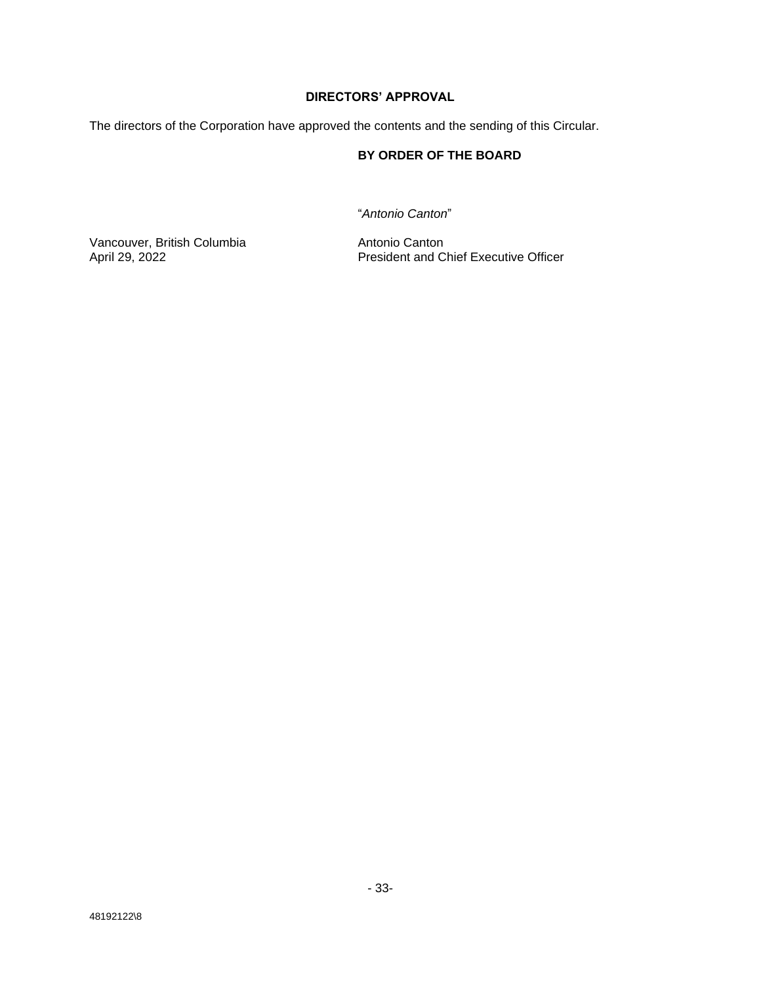# **DIRECTORS' APPROVAL**

The directors of the Corporation have approved the contents and the sending of this Circular.

# **BY ORDER OF THE BOARD**

"*Antonio Canton*"

Vancouver, British Columbia Antonio Canton

April 29, 2022 **President and Chief Executive Officer**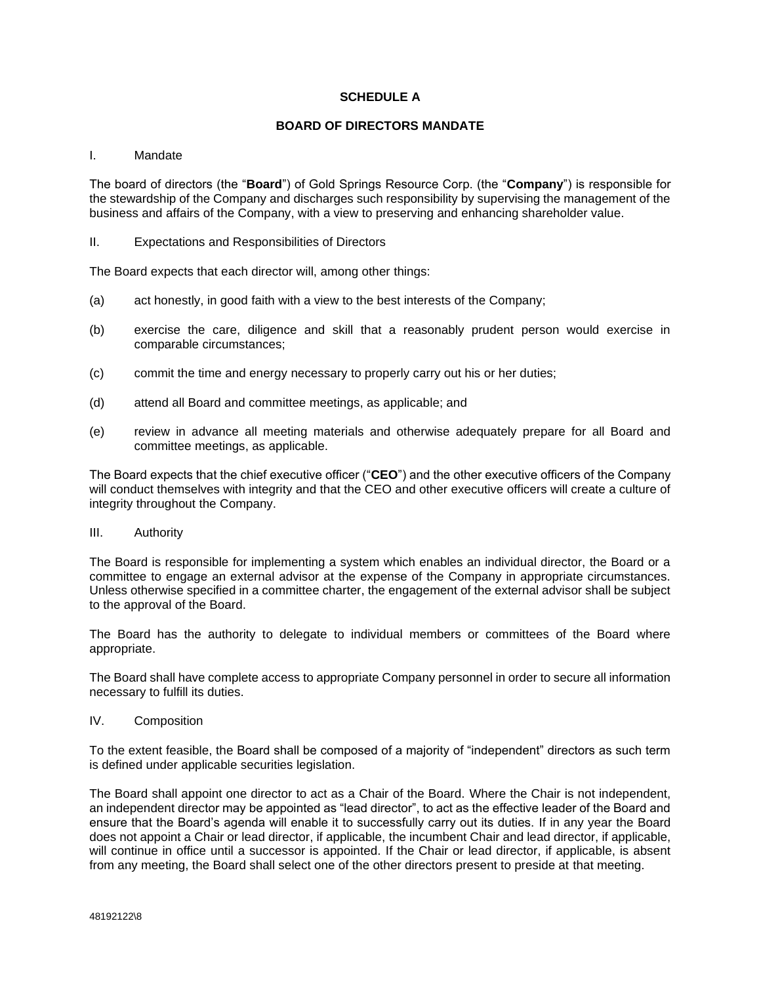# **SCHEDULE A**

# **BOARD OF DIRECTORS MANDATE**

### I. Mandate

The board of directors (the "**Board**") of Gold Springs Resource Corp. (the "**Company**") is responsible for the stewardship of the Company and discharges such responsibility by supervising the management of the business and affairs of the Company, with a view to preserving and enhancing shareholder value.

II. Expectations and Responsibilities of Directors

The Board expects that each director will, among other things:

- (a) act honestly, in good faith with a view to the best interests of the Company;
- (b) exercise the care, diligence and skill that a reasonably prudent person would exercise in comparable circumstances;
- (c) commit the time and energy necessary to properly carry out his or her duties;
- (d) attend all Board and committee meetings, as applicable; and
- (e) review in advance all meeting materials and otherwise adequately prepare for all Board and committee meetings, as applicable.

The Board expects that the chief executive officer ("**CEO**") and the other executive officers of the Company will conduct themselves with integrity and that the CEO and other executive officers will create a culture of integrity throughout the Company.

### III. Authority

The Board is responsible for implementing a system which enables an individual director, the Board or a committee to engage an external advisor at the expense of the Company in appropriate circumstances. Unless otherwise specified in a committee charter, the engagement of the external advisor shall be subject to the approval of the Board.

The Board has the authority to delegate to individual members or committees of the Board where appropriate.

The Board shall have complete access to appropriate Company personnel in order to secure all information necessary to fulfill its duties.

IV. Composition

To the extent feasible, the Board shall be composed of a majority of "independent" directors as such term is defined under applicable securities legislation.

The Board shall appoint one director to act as a Chair of the Board. Where the Chair is not independent, an independent director may be appointed as "lead director", to act as the effective leader of the Board and ensure that the Board's agenda will enable it to successfully carry out its duties. If in any year the Board does not appoint a Chair or lead director, if applicable, the incumbent Chair and lead director, if applicable, will continue in office until a successor is appointed. If the Chair or lead director, if applicable, is absent from any meeting, the Board shall select one of the other directors present to preside at that meeting.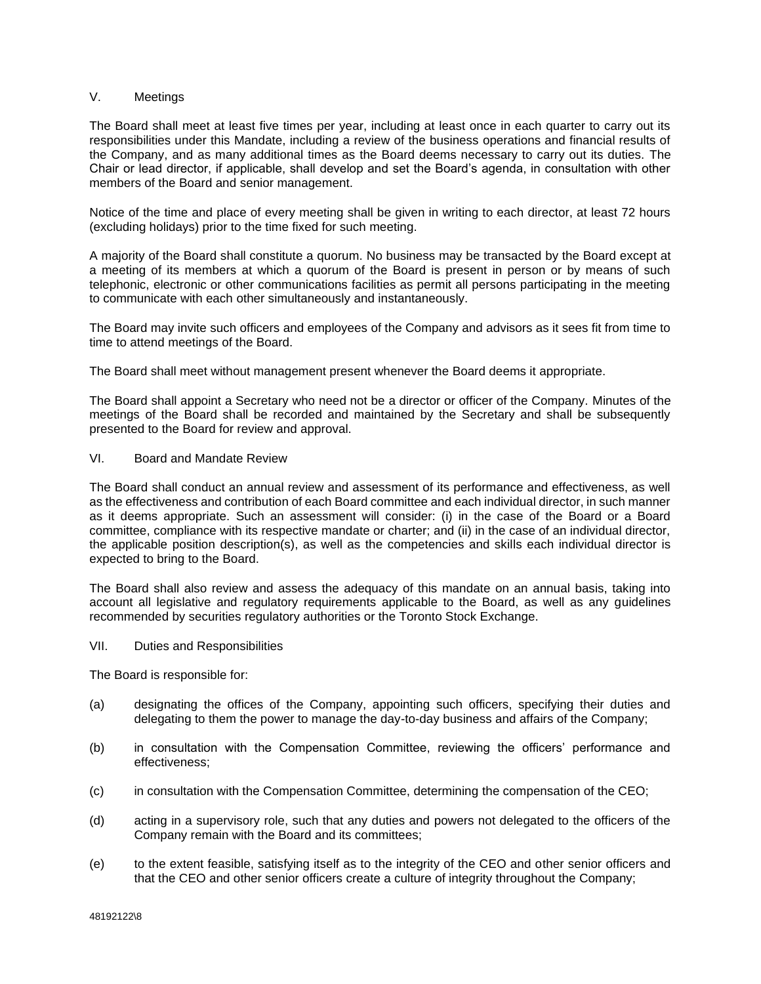## V. Meetings

The Board shall meet at least five times per year, including at least once in each quarter to carry out its responsibilities under this Mandate, including a review of the business operations and financial results of the Company, and as many additional times as the Board deems necessary to carry out its duties. The Chair or lead director, if applicable, shall develop and set the Board's agenda, in consultation with other members of the Board and senior management.

Notice of the time and place of every meeting shall be given in writing to each director, at least 72 hours (excluding holidays) prior to the time fixed for such meeting.

A majority of the Board shall constitute a quorum. No business may be transacted by the Board except at a meeting of its members at which a quorum of the Board is present in person or by means of such telephonic, electronic or other communications facilities as permit all persons participating in the meeting to communicate with each other simultaneously and instantaneously.

The Board may invite such officers and employees of the Company and advisors as it sees fit from time to time to attend meetings of the Board.

The Board shall meet without management present whenever the Board deems it appropriate.

The Board shall appoint a Secretary who need not be a director or officer of the Company. Minutes of the meetings of the Board shall be recorded and maintained by the Secretary and shall be subsequently presented to the Board for review and approval.

VI. Board and Mandate Review

The Board shall conduct an annual review and assessment of its performance and effectiveness, as well as the effectiveness and contribution of each Board committee and each individual director, in such manner as it deems appropriate. Such an assessment will consider: (i) in the case of the Board or a Board committee, compliance with its respective mandate or charter; and (ii) in the case of an individual director, the applicable position description(s), as well as the competencies and skills each individual director is expected to bring to the Board.

The Board shall also review and assess the adequacy of this mandate on an annual basis, taking into account all legislative and regulatory requirements applicable to the Board, as well as any guidelines recommended by securities regulatory authorities or the Toronto Stock Exchange.

### VII. Duties and Responsibilities

The Board is responsible for:

- (a) designating the offices of the Company, appointing such officers, specifying their duties and delegating to them the power to manage the day-to-day business and affairs of the Company;
- (b) in consultation with the Compensation Committee, reviewing the officers' performance and effectiveness;
- (c) in consultation with the Compensation Committee, determining the compensation of the CEO;
- (d) acting in a supervisory role, such that any duties and powers not delegated to the officers of the Company remain with the Board and its committees;
- (e) to the extent feasible, satisfying itself as to the integrity of the CEO and other senior officers and that the CEO and other senior officers create a culture of integrity throughout the Company;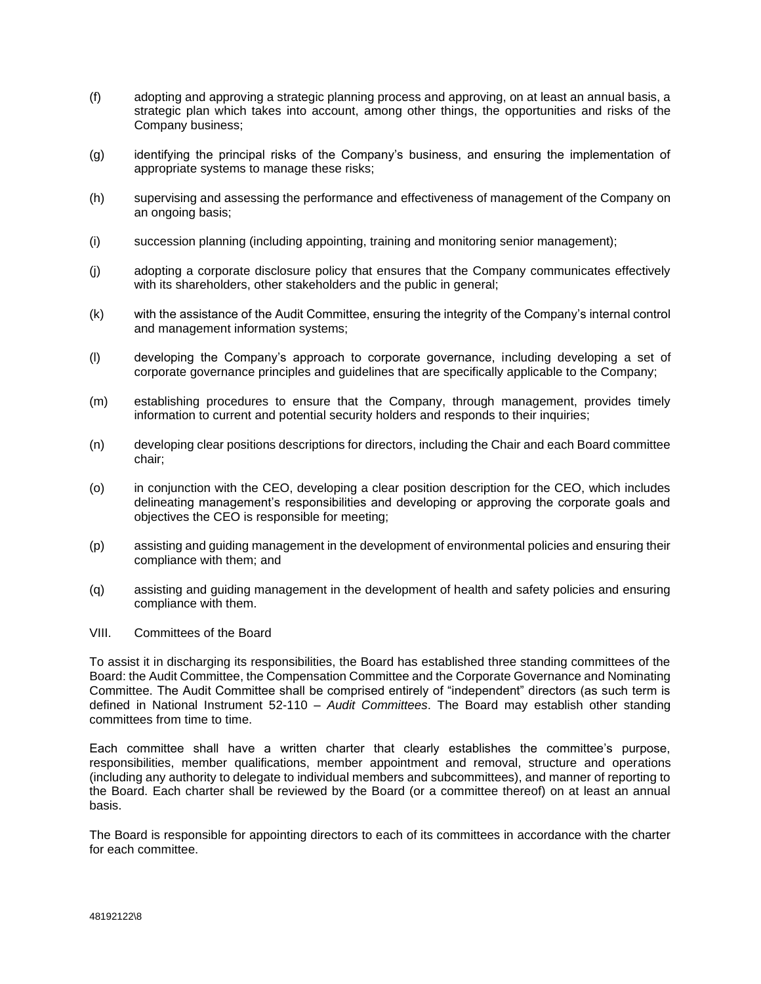- (f) adopting and approving a strategic planning process and approving, on at least an annual basis, a strategic plan which takes into account, among other things, the opportunities and risks of the Company business;
- (g) identifying the principal risks of the Company's business, and ensuring the implementation of appropriate systems to manage these risks;
- (h) supervising and assessing the performance and effectiveness of management of the Company on an ongoing basis;
- (i) succession planning (including appointing, training and monitoring senior management);
- (j) adopting a corporate disclosure policy that ensures that the Company communicates effectively with its shareholders, other stakeholders and the public in general;
- (k) with the assistance of the Audit Committee, ensuring the integrity of the Company's internal control and management information systems;
- (l) developing the Company's approach to corporate governance, including developing a set of corporate governance principles and guidelines that are specifically applicable to the Company;
- (m) establishing procedures to ensure that the Company, through management, provides timely information to current and potential security holders and responds to their inquiries;
- (n) developing clear positions descriptions for directors, including the Chair and each Board committee chair;
- (o) in conjunction with the CEO, developing a clear position description for the CEO, which includes delineating management's responsibilities and developing or approving the corporate goals and objectives the CEO is responsible for meeting;
- (p) assisting and guiding management in the development of environmental policies and ensuring their compliance with them; and
- (q) assisting and guiding management in the development of health and safety policies and ensuring compliance with them.
- VIII. Committees of the Board

To assist it in discharging its responsibilities, the Board has established three standing committees of the Board: the Audit Committee, the Compensation Committee and the Corporate Governance and Nominating Committee. The Audit Committee shall be comprised entirely of "independent" directors (as such term is defined in National Instrument 52-110 – *Audit Committees*. The Board may establish other standing committees from time to time.

Each committee shall have a written charter that clearly establishes the committee's purpose, responsibilities, member qualifications, member appointment and removal, structure and operations (including any authority to delegate to individual members and subcommittees), and manner of reporting to the Board. Each charter shall be reviewed by the Board (or a committee thereof) on at least an annual basis.

The Board is responsible for appointing directors to each of its committees in accordance with the charter for each committee.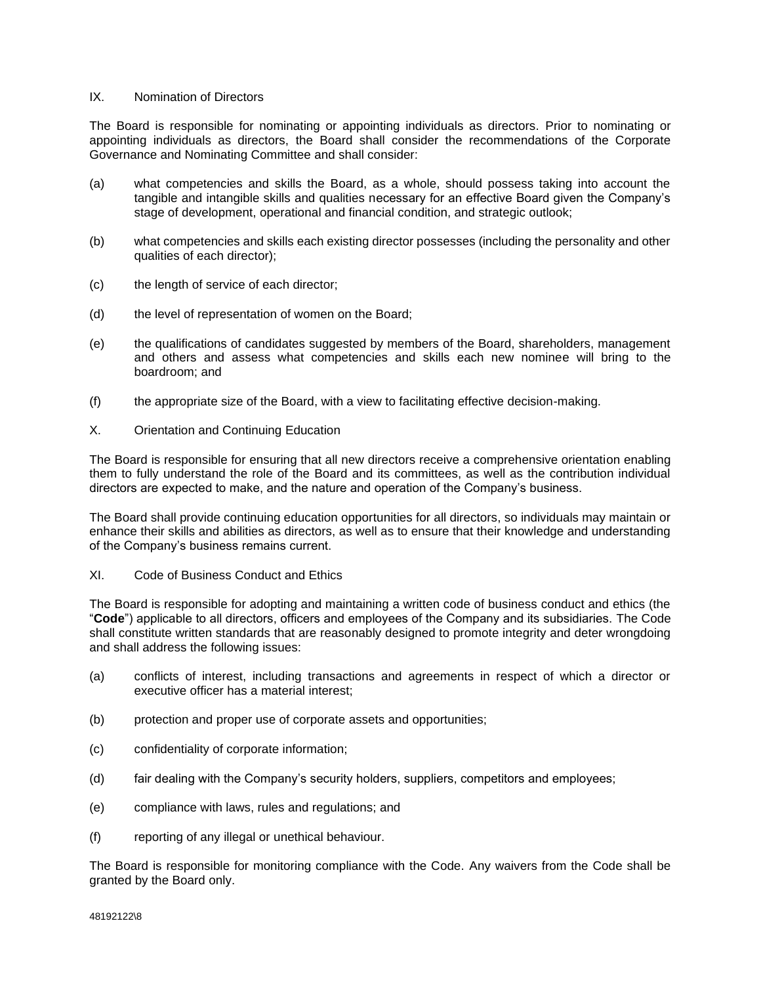### IX. Nomination of Directors

The Board is responsible for nominating or appointing individuals as directors. Prior to nominating or appointing individuals as directors, the Board shall consider the recommendations of the Corporate Governance and Nominating Committee and shall consider:

- (a) what competencies and skills the Board, as a whole, should possess taking into account the tangible and intangible skills and qualities necessary for an effective Board given the Company's stage of development, operational and financial condition, and strategic outlook;
- (b) what competencies and skills each existing director possesses (including the personality and other qualities of each director);
- (c) the length of service of each director;
- (d) the level of representation of women on the Board;
- (e) the qualifications of candidates suggested by members of the Board, shareholders, management and others and assess what competencies and skills each new nominee will bring to the boardroom; and
- (f) the appropriate size of the Board, with a view to facilitating effective decision-making.
- X. Orientation and Continuing Education

The Board is responsible for ensuring that all new directors receive a comprehensive orientation enabling them to fully understand the role of the Board and its committees, as well as the contribution individual directors are expected to make, and the nature and operation of the Company's business.

The Board shall provide continuing education opportunities for all directors, so individuals may maintain or enhance their skills and abilities as directors, as well as to ensure that their knowledge and understanding of the Company's business remains current.

XI. Code of Business Conduct and Ethics

The Board is responsible for adopting and maintaining a written code of business conduct and ethics (the "**Code**") applicable to all directors, officers and employees of the Company and its subsidiaries. The Code shall constitute written standards that are reasonably designed to promote integrity and deter wrongdoing and shall address the following issues:

- (a) conflicts of interest, including transactions and agreements in respect of which a director or executive officer has a material interest;
- (b) protection and proper use of corporate assets and opportunities;
- (c) confidentiality of corporate information;
- (d) fair dealing with the Company's security holders, suppliers, competitors and employees;
- (e) compliance with laws, rules and regulations; and
- (f) reporting of any illegal or unethical behaviour.

The Board is responsible for monitoring compliance with the Code. Any waivers from the Code shall be granted by the Board only.